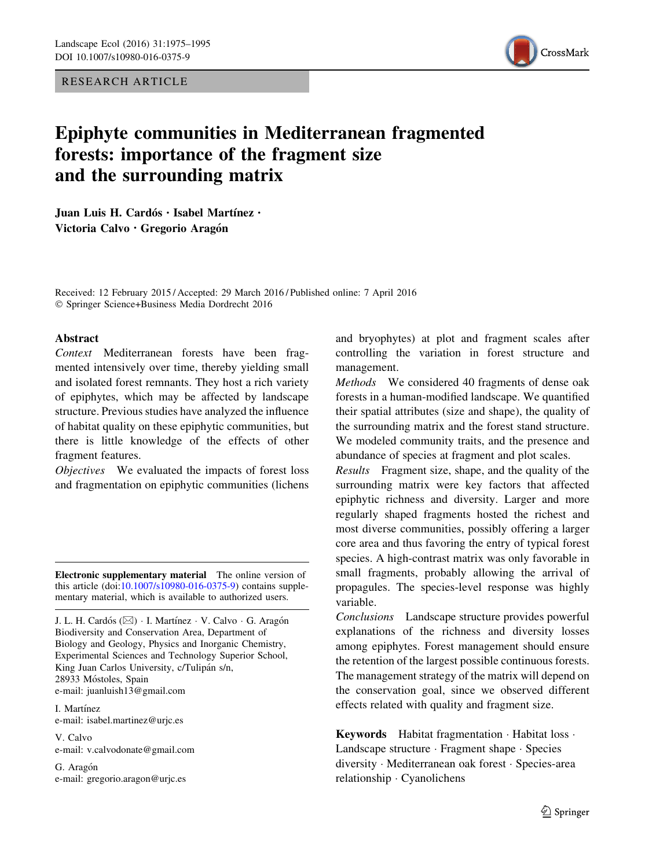RESEARCH ARTICLE



# Epiphyte communities in Mediterranean fragmented forests: importance of the fragment size and the surrounding matrix

Juan Luis H. Cardós · Isabel Martínez · Victoria Calvo · Gregorio Aragón

Received: 12 February 2015 / Accepted: 29 March 2016 / Published online: 7 April 2016 - Springer Science+Business Media Dordrecht 2016

## Abstract

Context Mediterranean forests have been fragmented intensively over time, thereby yielding small and isolated forest remnants. They host a rich variety of epiphytes, which may be affected by landscape structure. Previous studies have analyzed the influence of habitat quality on these epiphytic communities, but there is little knowledge of the effects of other fragment features.

Objectives We evaluated the impacts of forest loss and fragmentation on epiphytic communities (lichens

Electronic supplementary material The online version of this article (doi[:10.1007/s10980-016-0375-9\)](http://dx.doi.org/10.1007/s10980-016-0375-9) contains supplementary material, which is available to authorized users.

J. L. H. Cardós (⊠) · I. Martínez · V. Calvo · G. Aragón Biodiversity and Conservation Area, Department of Biology and Geology, Physics and Inorganic Chemistry, Experimental Sciences and Technology Superior School, King Juan Carlos University, c/Tulipán s/n, 28933 Móstoles, Spain e-mail: juanluish13@gmail.com

I. Martínez e-mail: isabel.martinez@urjc.es

V. Calvo e-mail: v.calvodonate@gmail.com

G. Aragón e-mail: gregorio.aragon@urjc.es and bryophytes) at plot and fragment scales after controlling the variation in forest structure and management.

Methods We considered 40 fragments of dense oak forests in a human-modified landscape. We quantified their spatial attributes (size and shape), the quality of the surrounding matrix and the forest stand structure. We modeled community traits, and the presence and abundance of species at fragment and plot scales.

Results Fragment size, shape, and the quality of the surrounding matrix were key factors that affected epiphytic richness and diversity. Larger and more regularly shaped fragments hosted the richest and most diverse communities, possibly offering a larger core area and thus favoring the entry of typical forest species. A high-contrast matrix was only favorable in small fragments, probably allowing the arrival of propagules. The species-level response was highly variable.

Conclusions Landscape structure provides powerful explanations of the richness and diversity losses among epiphytes. Forest management should ensure the retention of the largest possible continuous forests. The management strategy of the matrix will depend on the conservation goal, since we observed different effects related with quality and fragment size.

Keywords Habitat fragmentation · Habitat loss · Landscape structure - Fragment shape - Species diversity - Mediterranean oak forest - Species-area relationship - Cyanolichens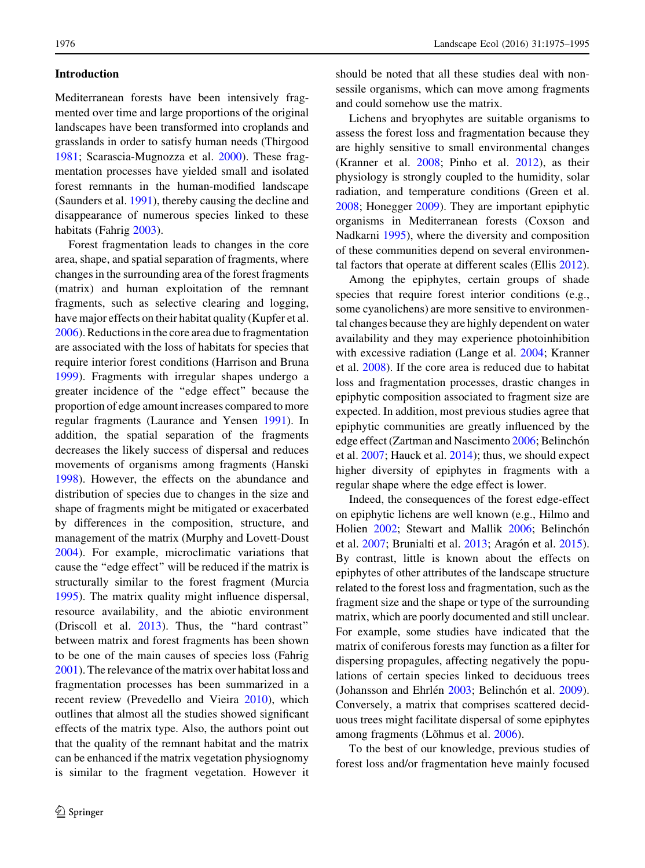## Introduction

Mediterranean forests have been intensively fragmented over time and large proportions of the original landscapes have been transformed into croplands and grasslands in order to satisfy human needs (Thirgood [1981;](#page-20-0) Scarascia-Mugnozza et al. [2000](#page-20-0)). These fragmentation processes have yielded small and isolated forest remnants in the human-modified landscape (Saunders et al. [1991\)](#page-19-0), thereby causing the decline and disappearance of numerous species linked to these habitats (Fahrig [2003\)](#page-18-0).

Forest fragmentation leads to changes in the core area, shape, and spatial separation of fragments, where changes in the surrounding area of the forest fragments (matrix) and human exploitation of the remnant fragments, such as selective clearing and logging, have major effects on their habitat quality (Kupfer et al. [2006\)](#page-19-0). Reductions in the core area due to fragmentation are associated with the loss of habitats for species that require interior forest conditions (Harrison and Bruna [1999\)](#page-18-0). Fragments with irregular shapes undergo a greater incidence of the ''edge effect'' because the proportion of edge amount increases compared to more regular fragments (Laurance and Yensen [1991](#page-19-0)). In addition, the spatial separation of the fragments decreases the likely success of dispersal and reduces movements of organisms among fragments (Hanski [1998\)](#page-18-0). However, the effects on the abundance and distribution of species due to changes in the size and shape of fragments might be mitigated or exacerbated by differences in the composition, structure, and management of the matrix (Murphy and Lovett-Doust [2004\)](#page-19-0). For example, microclimatic variations that cause the ''edge effect'' will be reduced if the matrix is structurally similar to the forest fragment (Murcia [1995\)](#page-19-0). The matrix quality might influence dispersal, resource availability, and the abiotic environment (Driscoll et al. [2013](#page-18-0)). Thus, the ''hard contrast'' between matrix and forest fragments has been shown to be one of the main causes of species loss (Fahrig [2001\)](#page-18-0). The relevance of the matrix over habitat loss and fragmentation processes has been summarized in a recent review (Prevedello and Vieira [2010](#page-19-0)), which outlines that almost all the studies showed significant effects of the matrix type. Also, the authors point out that the quality of the remnant habitat and the matrix can be enhanced if the matrix vegetation physiognomy is similar to the fragment vegetation. However it should be noted that all these studies deal with nonsessile organisms, which can move among fragments and could somehow use the matrix.

Lichens and bryophytes are suitable organisms to assess the forest loss and fragmentation because they are highly sensitive to small environmental changes (Kranner et al. [2008;](#page-19-0) Pinho et al. [2012](#page-19-0)), as their physiology is strongly coupled to the humidity, solar radiation, and temperature conditions (Green et al. [2008;](#page-18-0) Honegger [2009](#page-18-0)). They are important epiphytic organisms in Mediterranean forests (Coxson and Nadkarni [1995\)](#page-18-0), where the diversity and composition of these communities depend on several environmental factors that operate at different scales (Ellis [2012](#page-18-0)).

Among the epiphytes, certain groups of shade species that require forest interior conditions (e.g., some cyanolichens) are more sensitive to environmental changes because they are highly dependent on water availability and they may experience photoinhibition with excessive radiation (Lange et al. [2004;](#page-19-0) Kranner et al. [2008\)](#page-19-0). If the core area is reduced due to habitat loss and fragmentation processes, drastic changes in epiphytic composition associated to fragment size are expected. In addition, most previous studies agree that epiphytic communities are greatly influenced by the edge effect (Zartman and Nascimento [2006;](#page-20-0) Belinchón et al. [2007](#page-17-0); Hauck et al. [2014](#page-18-0)); thus, we should expect higher diversity of epiphytes in fragments with a regular shape where the edge effect is lower.

Indeed, the consequences of the forest edge-effect on epiphytic lichens are well known (e.g., Hilmo and Holien [2002](#page-18-0); Stewart and Mallik [2006](#page-20-0); Belinchón et al. [2007](#page-17-0); Brunialti et al. [2013;](#page-18-0) Aragón et al. [2015](#page-17-0)). By contrast, little is known about the effects on epiphytes of other attributes of the landscape structure related to the forest loss and fragmentation, such as the fragment size and the shape or type of the surrounding matrix, which are poorly documented and still unclear. For example, some studies have indicated that the matrix of coniferous forests may function as a filter for dispersing propagules, affecting negatively the populations of certain species linked to deciduous trees (Johansson and Ehrlén [2003](#page-19-0); Belinchón et al. [2009](#page-17-0)). Conversely, a matrix that comprises scattered deciduous trees might facilitate dispersal of some epiphytes among fragments (Lõhmus et al. [2006](#page-19-0)).

To the best of our knowledge, previous studies of forest loss and/or fragmentation heve mainly focused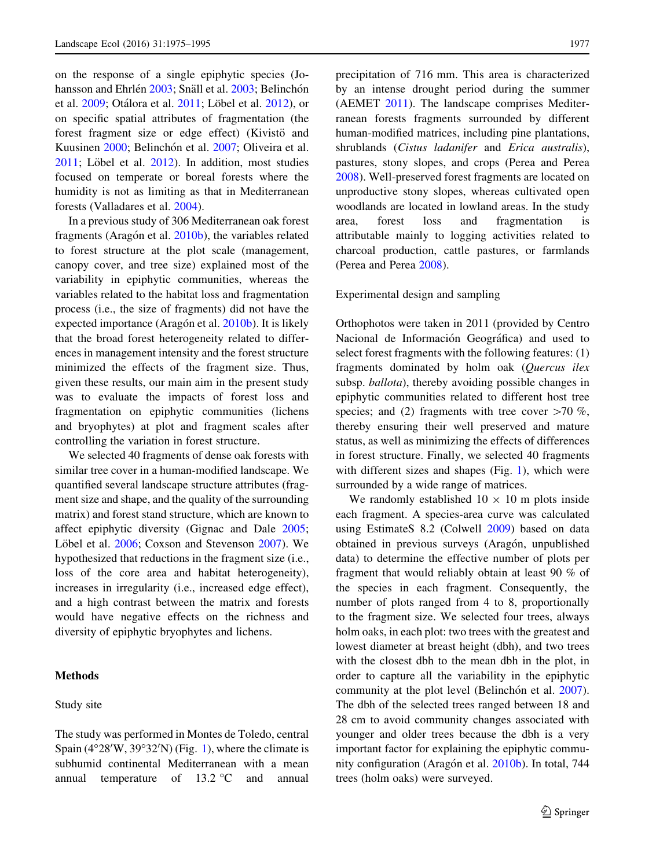on the response of a single epiphytic species (Jo-hansson and Ehrlén [2003;](#page-19-0) Snäll et al. [2003](#page-20-0); Belinchón et al. [2009](#page-17-0); Otálora et al. [2011;](#page-19-0) Löbel et al. [2012](#page-19-0)), or on specific spatial attributes of fragmentation (the forest fragment size or edge effect) (Kivistö and Kuusinen 2000: Belinchón et al. [2007;](#page-17-0) Oliveira et al.  $2011$ ; Löbel et al.  $2012$ ). In addition, most studies focused on temperate or boreal forests where the humidity is not as limiting as that in Mediterranean forests (Valladares et al. [2004\)](#page-20-0).

In a previous study of 306 Mediterranean oak forest fragments (Aragón et al.  $2010<sub>b</sub>$ ), the variables related to forest structure at the plot scale (management, canopy cover, and tree size) explained most of the variability in epiphytic communities, whereas the variables related to the habitat loss and fragmentation process (i.e., the size of fragments) did not have the expected importance (Aragón et al. [2010b](#page-17-0)). It is likely that the broad forest heterogeneity related to differences in management intensity and the forest structure minimized the effects of the fragment size. Thus, given these results, our main aim in the present study was to evaluate the impacts of forest loss and fragmentation on epiphytic communities (lichens and bryophytes) at plot and fragment scales after controlling the variation in forest structure.

We selected 40 fragments of dense oak forests with similar tree cover in a human-modified landscape. We quantified several landscape structure attributes (fragment size and shape, and the quality of the surrounding matrix) and forest stand structure, which are known to affect epiphytic diversity (Gignac and Dale [2005](#page-18-0); Löbel et al. [2006](#page-19-0); Coxson and Stevenson [2007](#page-18-0)). We hypothesized that reductions in the fragment size (i.e., loss of the core area and habitat heterogeneity), increases in irregularity (i.e., increased edge effect), and a high contrast between the matrix and forests would have negative effects on the richness and diversity of epiphytic bryophytes and lichens.

## Methods

### Study site

The study was performed in Montes de Toledo, central Spain  $(4^{\circ}28'W, 39^{\circ}32'N)$  (Fig. [1\)](#page-3-0), where the climate is subhumid continental Mediterranean with a mean annual temperature of  $13.2 \text{ °C}$  and annual

precipitation of 716 mm. This area is characterized by an intense drought period during the summer (AEMET [2011\)](#page-17-0). The landscape comprises Mediterranean forests fragments surrounded by different human-modified matrices, including pine plantations, shrublands (Cistus ladanifer and Erica australis), pastures, stony slopes, and crops (Perea and Perea [2008\)](#page-19-0). Well-preserved forest fragments are located on unproductive stony slopes, whereas cultivated open woodlands are located in lowland areas. In the study area, forest loss and fragmentation is attributable mainly to logging activities related to charcoal production, cattle pastures, or farmlands (Perea and Perea [2008](#page-19-0)).

#### Experimental design and sampling

Orthophotos were taken in 2011 (provided by Centro Nacional de Información Geográfica) and used to select forest fragments with the following features: (1) fragments dominated by holm oak (Quercus ilex subsp. ballota), thereby avoiding possible changes in epiphytic communities related to different host tree species; and (2) fragments with tree cover  $>70$  %, thereby ensuring their well preserved and mature status, as well as minimizing the effects of differences in forest structure. Finally, we selected 40 fragments with different sizes and shapes (Fig. [1](#page-3-0)), which were surrounded by a wide range of matrices.

We randomly established  $10 \times 10$  m plots inside each fragment. A species-area curve was calculated using EstimateS 8.2 (Colwell [2009](#page-18-0)) based on data obtained in previous surveys (Aragón, unpublished data) to determine the effective number of plots per fragment that would reliably obtain at least 90 % of the species in each fragment. Consequently, the number of plots ranged from 4 to 8, proportionally to the fragment size. We selected four trees, always holm oaks, in each plot: two trees with the greatest and lowest diameter at breast height (dbh), and two trees with the closest dbh to the mean dbh in the plot, in order to capture all the variability in the epiphytic community at the plot level (Belinchón et al. [2007](#page-17-0)). The dbh of the selected trees ranged between 18 and 28 cm to avoid community changes associated with younger and older trees because the dbh is a very important factor for explaining the epiphytic commu-nity configuration (Aragón et al. [2010b\)](#page-17-0). In total, 744 trees (holm oaks) were surveyed.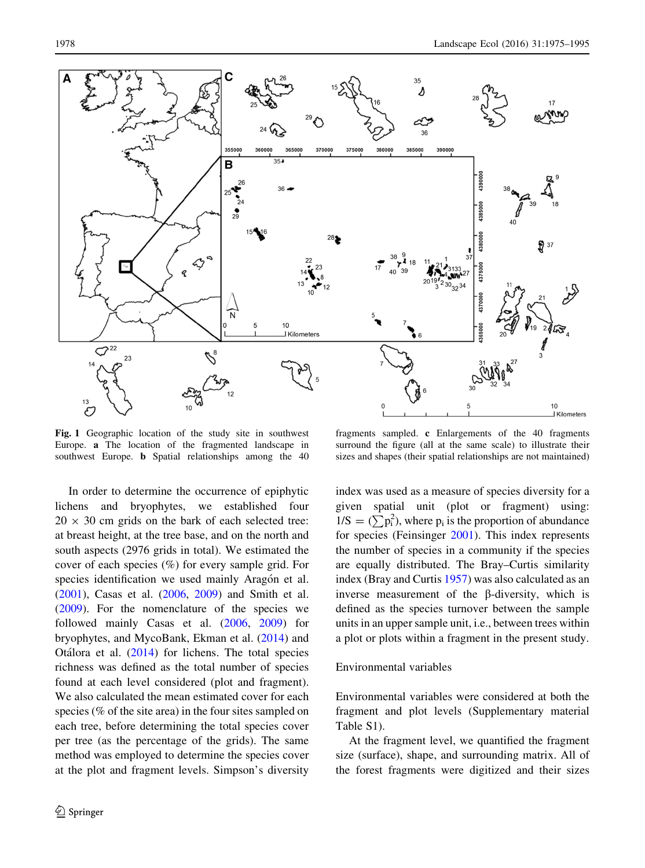<span id="page-3-0"></span>

Fig. 1 Geographic location of the study site in southwest Europe. a The location of the fragmented landscape in southwest Europe. **b** Spatial relationships among the 40

In order to determine the occurrence of epiphytic lichens and bryophytes, we established four  $20 \times 30$  cm grids on the bark of each selected tree: at breast height, at the tree base, and on the north and south aspects (2976 grids in total). We estimated the cover of each species (%) for every sample grid. For species identification we used mainly Aragón et al. [\(2001](#page-17-0)), Casas et al. ([2006,](#page-18-0) [2009](#page-18-0)) and Smith et al. [\(2009](#page-20-0)). For the nomenclature of the species we followed mainly Casas et al. [\(2006](#page-18-0), [2009\)](#page-18-0) for bryophytes, and MycoBank, Ekman et al. [\(2014](#page-18-0)) and Otálora et al.  $(2014)$  $(2014)$  for lichens. The total species richness was defined as the total number of species found at each level considered (plot and fragment). We also calculated the mean estimated cover for each species (% of the site area) in the four sites sampled on each tree, before determining the total species cover per tree (as the percentage of the grids). The same method was employed to determine the species cover at the plot and fragment levels. Simpson's diversity

fragments sampled. c Enlargements of the 40 fragments surround the figure (all at the same scale) to illustrate their sizes and shapes (their spatial relationships are not maintained)

index was used as a measure of species diversity for a given spatial unit (plot or fragment) using:  $1/S = (\sum p_i^2)$ , where  $p_i$  is the proportion of abundance for species (Feinsinger [2001](#page-18-0)). This index represents the number of species in a community if the species are equally distributed. The Bray–Curtis similarity index (Bray and Curtis [1957\)](#page-18-0) was also calculated as an inverse measurement of the  $\beta$ -diversity, which is defined as the species turnover between the sample units in an upper sample unit, i.e., between trees within a plot or plots within a fragment in the present study.

#### Environmental variables

Environmental variables were considered at both the fragment and plot levels (Supplementary material Table S1).

At the fragment level, we quantified the fragment size (surface), shape, and surrounding matrix. All of the forest fragments were digitized and their sizes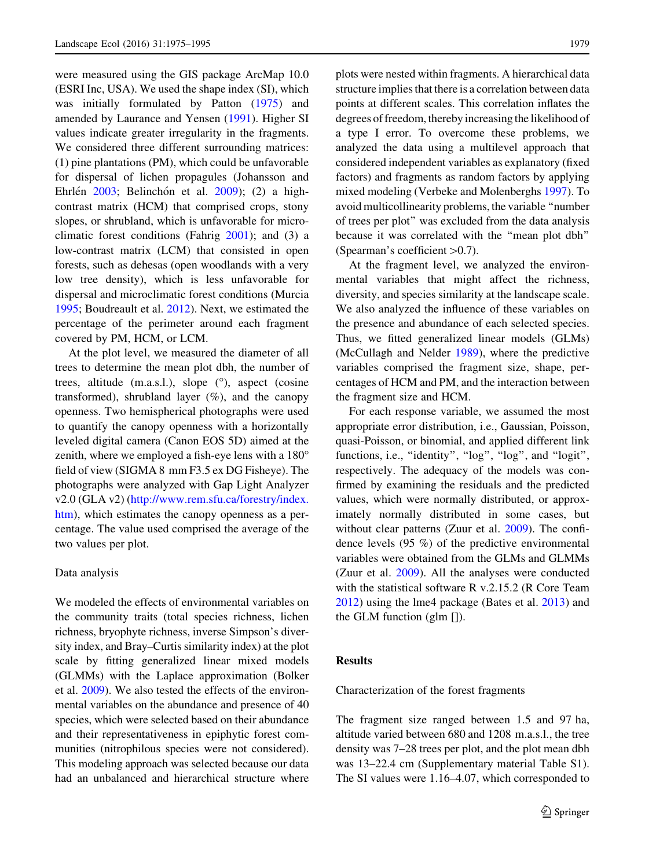were measured using the GIS package ArcMap 10.0 (ESRI Inc, USA). We used the shape index (SI), which was initially formulated by Patton [\(1975](#page-19-0)) and amended by Laurance and Yensen ([1991\)](#page-19-0). Higher SI values indicate greater irregularity in the fragments. We considered three different surrounding matrices: (1) pine plantations (PM), which could be unfavorable for dispersal of lichen propagules (Johansson and Ehrlén [2003;](#page-19-0) Belinchón et al.  $2009$ ); (2) a highcontrast matrix (HCM) that comprised crops, stony slopes, or shrubland, which is unfavorable for microclimatic forest conditions (Fahrig [2001\)](#page-18-0); and (3) a low-contrast matrix (LCM) that consisted in open forests, such as dehesas (open woodlands with a very low tree density), which is less unfavorable for dispersal and microclimatic forest conditions (Murcia [1995;](#page-19-0) Boudreault et al. [2012\)](#page-18-0). Next, we estimated the percentage of the perimeter around each fragment covered by PM, HCM, or LCM.

At the plot level, we measured the diameter of all trees to determine the mean plot dbh, the number of trees, altitude  $(m.a.s.1.)$ , slope  $(°)$ , aspect  $(cosine$ transformed), shrubland layer  $(\%)$ , and the canopy openness. Two hemispherical photographs were used to quantify the canopy openness with a horizontally leveled digital camera (Canon EOS 5D) aimed at the zenith, where we employed a fish-eye lens with a 180 field of view (SIGMA 8 mm F3.5 ex DG Fisheye). The photographs were analyzed with Gap Light Analyzer v2.0 (GLA v2) [\(http://www.rem.sfu.ca/forestry/index.](http://www.rem.sfu.ca/forestry/index.htm) [htm](http://www.rem.sfu.ca/forestry/index.htm)), which estimates the canopy openness as a percentage. The value used comprised the average of the two values per plot.

#### Data analysis

We modeled the effects of environmental variables on the community traits (total species richness, lichen richness, bryophyte richness, inverse Simpson's diversity index, and Bray–Curtis similarity index) at the plot scale by fitting generalized linear mixed models (GLMMs) with the Laplace approximation (Bolker et al. [2009\)](#page-17-0). We also tested the effects of the environmental variables on the abundance and presence of 40 species, which were selected based on their abundance and their representativeness in epiphytic forest communities (nitrophilous species were not considered). This modeling approach was selected because our data had an unbalanced and hierarchical structure where

plots were nested within fragments. A hierarchical data structure implies that there is a correlation between data points at different scales. This correlation inflates the degrees of freedom, thereby increasing the likelihood of a type I error. To overcome these problems, we analyzed the data using a multilevel approach that considered independent variables as explanatory (fixed factors) and fragments as random factors by applying mixed modeling (Verbeke and Molenberghs [1997](#page-20-0)). To avoid multicollinearity problems, the variable ''number of trees per plot'' was excluded from the data analysis because it was correlated with the ''mean plot dbh'' (Spearman's coefficient  $>0.7$ ).

At the fragment level, we analyzed the environmental variables that might affect the richness, diversity, and species similarity at the landscape scale. We also analyzed the influence of these variables on the presence and abundance of each selected species. Thus, we fitted generalized linear models (GLMs) (McCullagh and Nelder [1989](#page-19-0)), where the predictive variables comprised the fragment size, shape, percentages of HCM and PM, and the interaction between the fragment size and HCM.

For each response variable, we assumed the most appropriate error distribution, i.e., Gaussian, Poisson, quasi-Poisson, or binomial, and applied different link functions, i.e., "identity", "log", "log", and "logit", respectively. The adequacy of the models was confirmed by examining the residuals and the predicted values, which were normally distributed, or approximately normally distributed in some cases, but without clear patterns (Zuur et al. [2009](#page-20-0)). The confidence levels (95 %) of the predictive environmental variables were obtained from the GLMs and GLMMs (Zuur et al. [2009](#page-20-0)). All the analyses were conducted with the statistical software R v.2.15.2 (R Core Team [2012\)](#page-19-0) using the lme4 package (Bates et al. [2013\)](#page-17-0) and the GLM function (glm []).

### Results

Characterization of the forest fragments

The fragment size ranged between 1.5 and 97 ha, altitude varied between 680 and 1208 m.a.s.l., the tree density was 7–28 trees per plot, and the plot mean dbh was 13–22.4 cm (Supplementary material Table S1). The SI values were 1.16–4.07, which corresponded to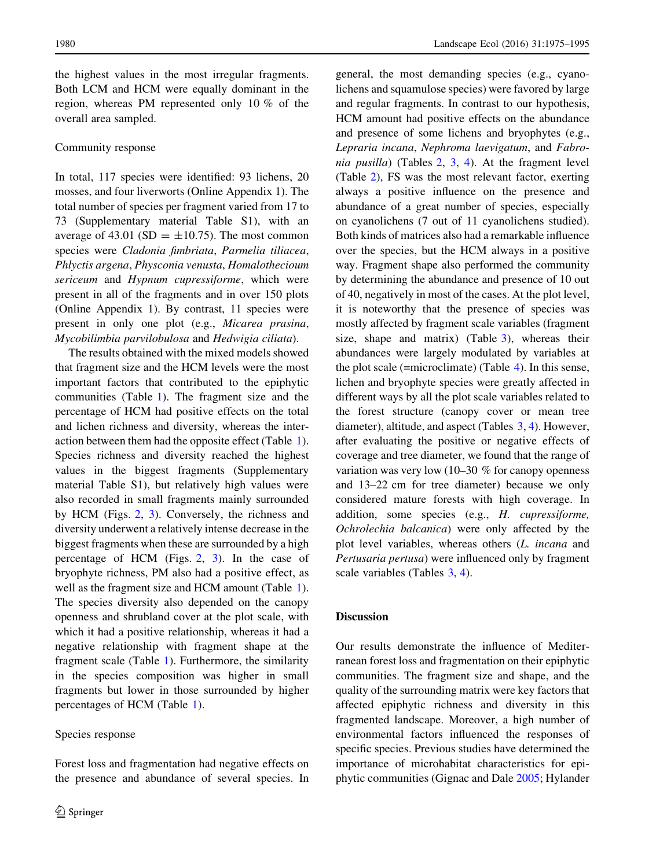the highest values in the most irregular fragments. Both LCM and HCM were equally dominant in the region, whereas PM represented only 10 % of the overall area sampled.

#### Community response

In total, 117 species were identified: 93 lichens, 20 mosses, and four liverworts (Online Appendix 1). The total number of species per fragment varied from 17 to 73 (Supplementary material Table S1), with an average of 43.01 (SD =  $\pm$ 10.75). The most common species were Cladonia fimbriata, Parmelia tiliacea, Phlyctis argena, Physconia venusta, Homalothecioum sericeum and Hypnum cupressiforme, which were present in all of the fragments and in over 150 plots (Online Appendix 1). By contrast, 11 species were present in only one plot (e.g., Micarea prasina, Mycobilimbia parvilobulosa and Hedwigia ciliata).

The results obtained with the mixed models showed that fragment size and the HCM levels were the most important factors that contributed to the epiphytic communities (Table [1\)](#page-6-0). The fragment size and the percentage of HCM had positive effects on the total and lichen richness and diversity, whereas the interaction between them had the opposite effect (Table [1](#page-6-0)). Species richness and diversity reached the highest values in the biggest fragments (Supplementary material Table S1), but relatively high values were also recorded in small fragments mainly surrounded by HCM (Figs. [2](#page-7-0), [3](#page-8-0)). Conversely, the richness and diversity underwent a relatively intense decrease in the biggest fragments when these are surrounded by a high percentage of HCM (Figs. [2](#page-7-0), [3](#page-8-0)). In the case of bryophyte richness, PM also had a positive effect, as well as the fragment size and HCM amount (Table [1](#page-6-0)). The species diversity also depended on the canopy openness and shrubland cover at the plot scale, with which it had a positive relationship, whereas it had a negative relationship with fragment shape at the fragment scale (Table [1\)](#page-6-0). Furthermore, the similarity in the species composition was higher in small fragments but lower in those surrounded by higher percentages of HCM (Table [1\)](#page-6-0).

### Species response

Forest loss and fragmentation had negative effects on the presence and abundance of several species. In

general, the most demanding species (e.g., cyanolichens and squamulose species) were favored by large and regular fragments. In contrast to our hypothesis, HCM amount had positive effects on the abundance and presence of some lichens and bryophytes (e.g., Lepraria incana, Nephroma laevigatum, and Fabronia pusilla) (Tables [2](#page-9-0), [3](#page-11-0), [4](#page-13-0)). At the fragment level (Table [2](#page-9-0)), FS was the most relevant factor, exerting always a positive influence on the presence and abundance of a great number of species, especially on cyanolichens (7 out of 11 cyanolichens studied). Both kinds of matrices also had a remarkable influence over the species, but the HCM always in a positive way. Fragment shape also performed the community by determining the abundance and presence of 10 out of 40, negatively in most of the cases. At the plot level, it is noteworthy that the presence of species was mostly affected by fragment scale variables (fragment size, shape and matrix) (Table [3](#page-11-0)), whereas their abundances were largely modulated by variables at the plot scale (=microclimate) (Table [4](#page-13-0)). In this sense, lichen and bryophyte species were greatly affected in different ways by all the plot scale variables related to the forest structure (canopy cover or mean tree diameter), altitude, and aspect (Tables [3](#page-11-0), [4](#page-13-0)). However, after evaluating the positive or negative effects of coverage and tree diameter, we found that the range of variation was very low (10–30 % for canopy openness and 13–22 cm for tree diameter) because we only considered mature forests with high coverage. In addition, some species (e.g., H. cupressiforme, Ochrolechia balcanica) were only affected by the plot level variables, whereas others (L. incana and Pertusaria pertusa) were influenced only by fragment scale variables (Tables [3](#page-11-0), [4](#page-13-0)).

## **Discussion**

Our results demonstrate the influence of Mediterranean forest loss and fragmentation on their epiphytic communities. The fragment size and shape, and the quality of the surrounding matrix were key factors that affected epiphytic richness and diversity in this fragmented landscape. Moreover, a high number of environmental factors influenced the responses of specific species. Previous studies have determined the importance of microhabitat characteristics for epiphytic communities (Gignac and Dale [2005](#page-18-0); Hylander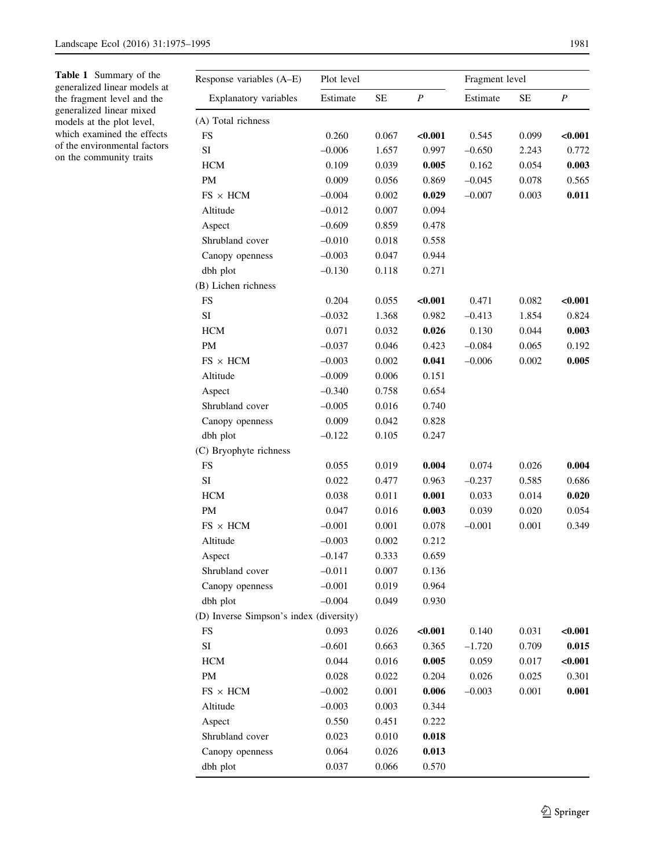<span id="page-6-0"></span>Table 1 Summary of the generalized linear models at the fragment level and the generalized linear mixed models at the plot level, which examined the effects of the environmental factors on the community traits

| Response variables (A-E)                | Plot level |           |         | Fragment level |       |                  |
|-----------------------------------------|------------|-----------|---------|----------------|-------|------------------|
| Explanatory variables                   | Estimate   | SE        | P       | Estimate       | SЕ    | $\boldsymbol{P}$ |
| (A) Total richness                      |            |           |         |                |       |                  |
| FS                                      | 0.260      | 0.067     | < 0.001 | 0.545          | 0.099 | < 0.001          |
| SI                                      | $-0.006$   | 1.657     | 0.997   | $-0.650$       | 2.243 | 0.772            |
| <b>HCM</b>                              | 0.109      | 0.039     | 0.005   | 0.162          | 0.054 | 0.003            |
| PM                                      | 0.009      | 0.056     | 0.869   | $-0.045$       | 0.078 | 0.565            |
| $FS \times HCM$                         | $-0.004$   | 0.002     | 0.029   | $-0.007$       | 0.003 | 0.011            |
| Altitude                                | $-0.012$   | 0.007     | 0.094   |                |       |                  |
| Aspect                                  | $-0.609$   | 0.859     | 0.478   |                |       |                  |
| Shrubland cover                         | $-0.010$   | 0.018     | 0.558   |                |       |                  |
| Canopy openness                         | $-0.003$   | 0.047     | 0.944   |                |       |                  |
| dbh plot                                | $-0.130$   | 0.118     | 0.271   |                |       |                  |
| (B) Lichen richness                     |            |           |         |                |       |                  |
| <b>FS</b>                               | 0.204      | 0.055     | < 0.001 | 0.471          | 0.082 | < 0.001          |
| SI                                      | $-0.032$   | 1.368     | 0.982   | $-0.413$       | 1.854 | 0.824            |
| <b>HCM</b>                              | 0.071      | 0.032     | 0.026   | 0.130          | 0.044 | 0.003            |
| PM                                      | $-0.037$   | 0.046     | 0.423   | $-0.084$       | 0.065 | 0.192            |
| $FS \times HCM$                         | $-0.003$   | 0.002     | 0.041   | $-0.006$       | 0.002 | 0.005            |
| Altitude                                | $-0.009$   | 0.006     | 0.151   |                |       |                  |
| Aspect                                  | $-0.340$   | 0.758     | 0.654   |                |       |                  |
| Shrubland cover                         | $-0.005$   | 0.016     | 0.740   |                |       |                  |
| Canopy openness                         | 0.009      | 0.042     | 0.828   |                |       |                  |
| dbh plot                                | $-0.122$   | 0.105     | 0.247   |                |       |                  |
| (C) Bryophyte richness                  |            |           |         |                |       |                  |
| FS                                      | 0.055      | 0.019     | 0.004   | 0.074          | 0.026 | 0.004            |
| SI                                      | 0.022      | 0.477     | 0.963   | $-0.237$       | 0.585 | 0.686            |
| <b>HCM</b>                              | 0.038      | 0.011     | 0.001   | 0.033          | 0.014 | 0.020            |
| <b>PM</b>                               | 0.047      | 0.016     | 0.003   | 0.039          | 0.020 | 0.054            |
| $FS \times HCM$                         | $-0.001$   | 0.001     | 0.078   | $-0.001$       | 0.001 | 0.349            |
| Altitude                                | $-0.003$   | 0.002     | 0.212   |                |       |                  |
| Aspect                                  | $-0.147$   | 0.333     | 0.659   |                |       |                  |
| Shrubland cover                         | $-0.011$   | 0.007     | 0.136   |                |       |                  |
| Canopy openness                         | $-0.001$   | 0.019     | 0.964   |                |       |                  |
| dbh plot                                | $-0.004$   | 0.049     | 0.930   |                |       |                  |
| (D) Inverse Simpson's index (diversity) |            |           |         |                |       |                  |
| FS                                      | 0.093      | 0.026     | < 0.001 | 0.140          | 0.031 | $0.001$          |
| SI                                      | $-0.601$   | 0.663     | 0.365   | $-1.720$       | 0.709 | 0.015            |
| <b>HCM</b>                              | 0.044      | 0.016     | 0.005   | 0.059          | 0.017 | $0.001$          |
| PM                                      | 0.028      | 0.022     | 0.204   | 0.026          | 0.025 | 0.301            |
| $FS \times HCM$                         | $-0.002$   | 0.001     | 0.006   | $-0.003$       | 0.001 | 0.001            |
| Altitude                                | $-0.003$   | 0.003     | 0.344   |                |       |                  |
| Aspect                                  | 0.550      | 0.451     | 0.222   |                |       |                  |
| Shrubland cover                         | 0.023      | $0.010\,$ | 0.018   |                |       |                  |
| Canopy openness                         | 0.064      | 0.026     | 0.013   |                |       |                  |
| dbh plot                                | 0.037      | 0.066     | 0.570   |                |       |                  |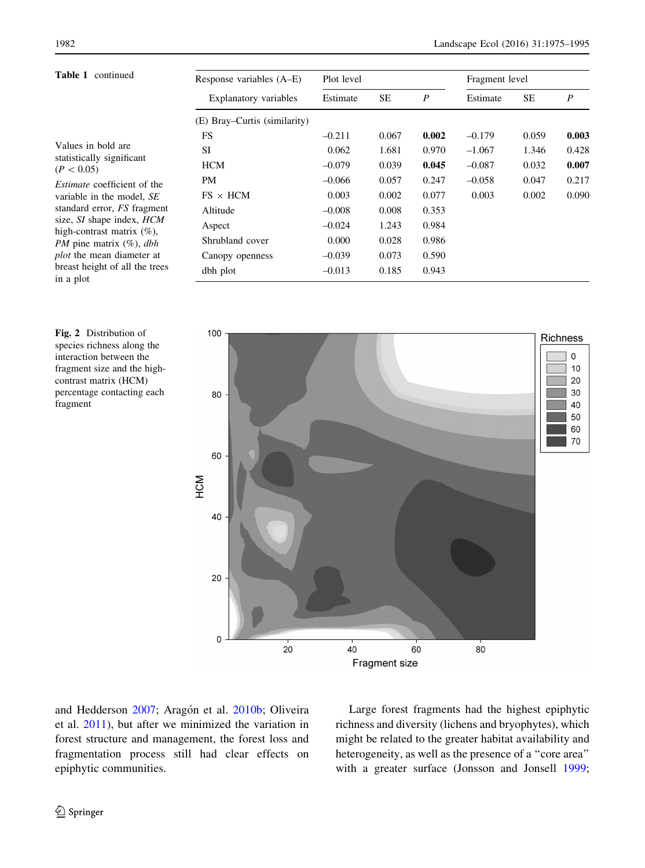#### <span id="page-7-0"></span>Table 1 continued

Values in bold are statistically significant

Estimate coefficient of the variable in the model, SE standard error, FS fragment size, SI shape index, HCM high-contrast matrix  $(\%)$ , *PM* pine matrix  $(\%)$ , *dbh* plot the mean diameter at breast height of all the trees

 $(P < 0.05)$ 

in a plot

| Response variables (A–E)     | Plot level |           |       | Fragment level |           |       |
|------------------------------|------------|-----------|-------|----------------|-----------|-------|
| Explanatory variables        | Estimate   | <b>SE</b> | P     | Estimate       | <b>SE</b> | P     |
| (E) Bray–Curtis (similarity) |            |           |       |                |           |       |
| FS                           | $-0.211$   | 0.067     | 0.002 | $-0.179$       | 0.059     | 0.003 |
| <b>SI</b>                    | 0.062      | 1.681     | 0.970 | $-1.067$       | 1.346     | 0.428 |
| <b>HCM</b>                   | $-0.079$   | 0.039     | 0.045 | $-0.087$       | 0.032     | 0.007 |
| PM                           | $-0.066$   | 0.057     | 0.247 | $-0.058$       | 0.047     | 0.217 |
| $FS \times HCM$              | 0.003      | 0.002     | 0.077 | 0.003          | 0.002     | 0.090 |
| Altitude                     | $-0.008$   | 0.008     | 0.353 |                |           |       |
| Aspect                       | $-0.024$   | 1.243     | 0.984 |                |           |       |
| Shrubland cover              | 0.000      | 0.028     | 0.986 |                |           |       |
| Canopy openness              | $-0.039$   | 0.073     | 0.590 |                |           |       |
| dbh plot                     | $-0.013$   | 0.185     | 0.943 |                |           |       |





and Hedderson [2007](#page-18-0); Aragón et al. [2010b;](#page-17-0) Oliveira et al. [2011\)](#page-19-0), but after we minimized the variation in forest structure and management, the forest loss and fragmentation process still had clear effects on epiphytic communities.

Large forest fragments had the highest epiphytic richness and diversity (lichens and bryophytes), which might be related to the greater habitat availability and heterogeneity, as well as the presence of a "core area" with a greater surface (Jonsson and Jonsell [1999](#page-19-0);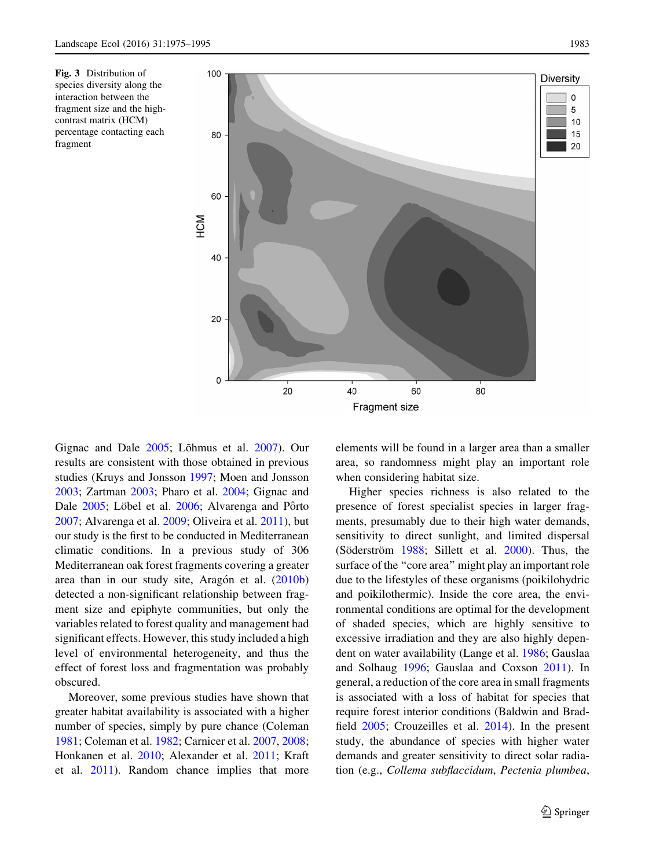<span id="page-8-0"></span>Fig. 3 Distribution of species diversity along the interaction between the fragment size and the highcontrast matrix (HCM) percentage contacting each fragment



Gignac and Dale [2005;](#page-18-0) Lõhmus et al. [2007\)](#page-19-0). Our results are consistent with those obtained in previous studies (Kruys and Jonsson [1997;](#page-19-0) Moen and Jonsson [2003;](#page-19-0) Zartman [2003;](#page-20-0) Pharo et al. [2004;](#page-19-0) Gignac and Dale [2005;](#page-18-0) Löbel et al. [2006](#page-19-0); Alvarenga and Pôrto [2007;](#page-17-0) Alvarenga et al. [2009](#page-17-0); Oliveira et al. [2011](#page-19-0)), but our study is the first to be conducted in Mediterranean climatic conditions. In a previous study of 306 Mediterranean oak forest fragments covering a greater area than in our study site, Aragón et al.  $(2010b)$  $(2010b)$ detected a non-significant relationship between fragment size and epiphyte communities, but only the variables related to forest quality and management had significant effects. However, this study included a high level of environmental heterogeneity, and thus the effect of forest loss and fragmentation was probably obscured.

Moreover, some previous studies have shown that greater habitat availability is associated with a higher number of species, simply by pure chance (Coleman [1981;](#page-18-0) Coleman et al. [1982;](#page-18-0) Carnicer et al. [2007,](#page-18-0) [2008](#page-18-0); Honkanen et al. [2010;](#page-18-0) Alexander et al. [2011](#page-17-0); Kraft et al. [2011\)](#page-19-0). Random chance implies that more elements will be found in a larger area than a smaller area, so randomness might play an important role when considering habitat size.

Higher species richness is also related to the presence of forest specialist species in larger fragments, presumably due to their high water demands, sensitivity to direct sunlight, and limited dispersal (Söderström [1988](#page-20-0); Sillett et al. [2000\)](#page-20-0). Thus, the surface of the "core area" might play an important role due to the lifestyles of these organisms (poikilohydric and poikilothermic). Inside the core area, the environmental conditions are optimal for the development of shaded species, which are highly sensitive to excessive irradiation and they are also highly dependent on water availability (Lange et al. [1986;](#page-19-0) Gauslaa and Solhaug [1996;](#page-18-0) Gauslaa and Coxson [2011](#page-18-0)). In general, a reduction of the core area in small fragments is associated with a loss of habitat for species that require forest interior conditions (Baldwin and Bradfield [2005](#page-17-0); Crouzeilles et al. [2014](#page-18-0)). In the present study, the abundance of species with higher water demands and greater sensitivity to direct solar radiation (e.g., Collema subflaccidum, Pectenia plumbea,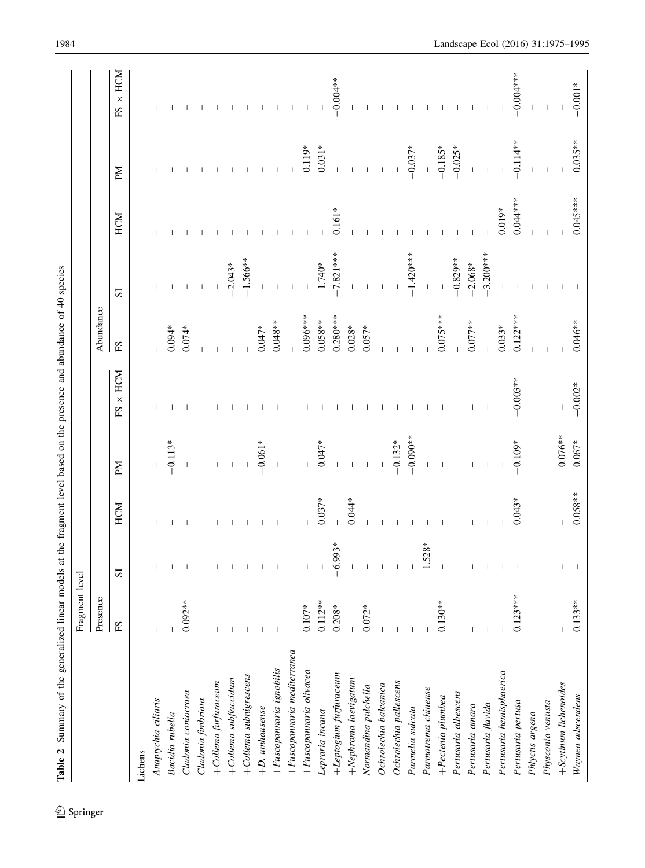| ֦             |  |
|---------------|--|
| .<br>.<br>.   |  |
|               |  |
|               |  |
|               |  |
| I             |  |
|               |  |
|               |  |
|               |  |
|               |  |
| ļ<br>ׅ֘֒<br>l |  |

<span id="page-9-0"></span>

|                                | Fragment     | level        |            |               |                   |              |                         |            |                        |                          |
|--------------------------------|--------------|--------------|------------|---------------|-------------------|--------------|-------------------------|------------|------------------------|--------------------------|
|                                | Presence     |              |            |               |                   | Abundance    |                         |            |                        |                          |
|                                | $\mathbf{E}$ | 2            | HCM        | M             | $\times$ HCM<br>R | $\mathbb{E}$ | $\overline{\mathbf{s}}$ | HCM        | M                      | $\times$ HCM<br>FS       |
| Lichens                        |              |              |            |               |                   |              |                         |            |                        |                          |
| Anaptychia ciliaris            |              |              |            |               |                   |              |                         |            |                        |                          |
| Bacidia rubella                |              |              |            | $-0.113*$     |                   | $0.094*$     |                         |            |                        |                          |
| Cladonia coniocraea            | $0.092**$    |              |            |               |                   | $0.074*$     |                         |            |                        |                          |
| Cladonia fimbriata             |              |              |            |               |                   |              |                         |            |                        |                          |
| $+$ Collema furfuraceum        |              |              |            |               |                   |              |                         |            |                        |                          |
| +Collema subflaccidum          |              |              |            |               |                   |              | $-2.043*$               |            |                        |                          |
| +Collema subnigrescens         |              |              |            |               |                   |              | $-1.566**$              |            |                        |                          |
| $+D$ . umhausense              |              |              |            | $-0.061*$     |                   | $0.047*$     |                         |            |                        |                          |
| +Fuscopamaria ignobilis        | $\mathbf{I}$ |              |            |               |                   | $0.048***$   |                         |            |                        |                          |
| $+$ Fuscopannaria mediterranea |              |              |            |               |                   |              |                         |            |                        |                          |
| $+$ Fuscopannaria olivacea     | $0.107*$     |              |            |               |                   | $0.096***$   |                         |            |                        |                          |
| Lepraria incana                | $0.112**$    |              | $0.037*$   | $0.047*$      |                   | $0.058***$   | $-1.740*$               |            | $-0.119*$<br>0.031*    |                          |
| $+ Leptogium furfuraceum$      | $0.208*$     | $-6.993*$    |            | $\frac{1}{1}$ |                   | $0.280***$   | $-7.821***$             | $0.161*$   |                        | $-0.004**$               |
| $+Neph\norma$ laevigatum       |              |              | $0.044*$   |               |                   | $0.028*$     |                         |            |                        | $\overline{\phantom{a}}$ |
| Normandina pulchella           | $0.072*$     |              |            |               |                   | $0.057*$     |                         |            |                        |                          |
| Ochrolechia balcanica          |              |              |            |               |                   |              |                         |            |                        |                          |
| Ochrolechia pallescens         |              |              |            | $-0.132*$     |                   |              |                         |            |                        |                          |
| Parmelia sulcata               |              |              |            | $-0.090**$    |                   |              | $-1.420***$             |            | $-0.037*$              |                          |
| Parmotrema chinense            |              | $1.528*$     |            |               |                   |              |                         |            |                        |                          |
| $+$ Pectenia plumbea           | $0.130**$    |              |            |               |                   | $0.075***$   |                         |            | $-0.185*$<br>$-0.025*$ |                          |
| Pertusaria albescens           |              |              |            |               |                   |              | $-0.829**$              |            |                        |                          |
| Pertusaria amara               |              |              |            |               |                   | $0.077***$   | $-2.068*$               |            |                        |                          |
| Pertusaria flavida             |              |              |            |               |                   |              | $-3.200***$             |            |                        |                          |
| Pertusaria hemisphaerica       |              |              |            |               |                   | $0.033*$     | $\mathsf I$             | $0.019*$   |                        |                          |
| Pertusaria pertusa             | $0.123***$   |              | $0.043*$   | $-0.109*$     | $-0.003**$        | $0.122***$   |                         | $0.044***$ | $-0.114**$             | $-0.000$                 |
| Phlyctis argena                |              |              |            |               |                   |              |                         |            |                        |                          |
| Physconia venusta              |              |              |            |               |                   |              |                         |            |                        |                          |
| +Scytinum lichenoides          |              | $\mathbf{I}$ |            | $0.076**$     |                   |              |                         |            |                        |                          |
| Waynea adscendens              | $0.133***$   |              | $0.058***$ | $0.067*$      | $-0.002*$         | $0.046**$    |                         | $0.045***$ | $0.035***$             | $-0.001*$                |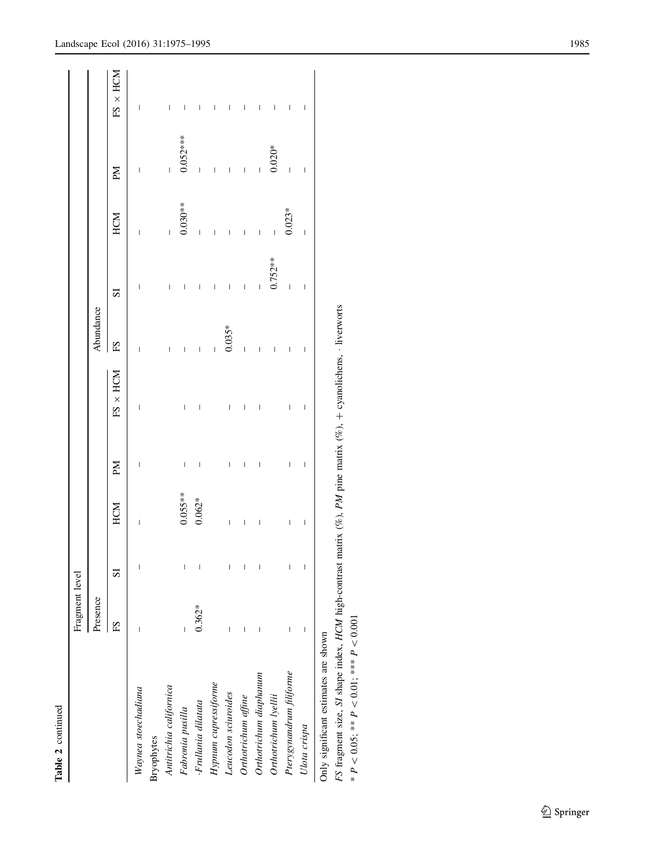| ₹      |  |
|--------|--|
| ⋍<br>Ξ |  |

|                                                                                                                  | Fragment level |                                                                                                                                                                                                                                                                                                                                                                                  |                          |                                                                                                                                                                                                                                                                                                                                                                                  |                             |                          |            |                |                |                          |
|------------------------------------------------------------------------------------------------------------------|----------------|----------------------------------------------------------------------------------------------------------------------------------------------------------------------------------------------------------------------------------------------------------------------------------------------------------------------------------------------------------------------------------|--------------------------|----------------------------------------------------------------------------------------------------------------------------------------------------------------------------------------------------------------------------------------------------------------------------------------------------------------------------------------------------------------------------------|-----------------------------|--------------------------|------------|----------------|----------------|--------------------------|
|                                                                                                                  | Presence       |                                                                                                                                                                                                                                                                                                                                                                                  |                          |                                                                                                                                                                                                                                                                                                                                                                                  |                             | Abundance                |            |                |                |                          |
|                                                                                                                  | ES             | 2                                                                                                                                                                                                                                                                                                                                                                                | HCM                      | M                                                                                                                                                                                                                                                                                                                                                                                | $\text{FS}\times\text{HCM}$ | ES                       | 51         | HCM            | Md             | $FS \times HCM$          |
| Waynea stoechadiana                                                                                              | I              | $\begin{array}{c} \rule{0pt}{2.5ex} \rule{0pt}{2.5ex} \rule{0pt}{2.5ex} \rule{0pt}{2.5ex} \rule{0pt}{2.5ex} \rule{0pt}{2.5ex} \rule{0pt}{2.5ex} \rule{0pt}{2.5ex} \rule{0pt}{2.5ex} \rule{0pt}{2.5ex} \rule{0pt}{2.5ex} \rule{0pt}{2.5ex} \rule{0pt}{2.5ex} \rule{0pt}{2.5ex} \rule{0pt}{2.5ex} \rule{0pt}{2.5ex} \rule{0pt}{2.5ex} \rule{0pt}{2.5ex} \rule{0pt}{2.5ex} \rule{0$ | $\overline{1}$           | $\begin{array}{c} \rule{0pt}{2.5ex} \rule{0pt}{2.5ex} \rule{0pt}{2.5ex} \rule{0pt}{2.5ex} \rule{0pt}{2.5ex} \rule{0pt}{2.5ex} \rule{0pt}{2.5ex} \rule{0pt}{2.5ex} \rule{0pt}{2.5ex} \rule{0pt}{2.5ex} \rule{0pt}{2.5ex} \rule{0pt}{2.5ex} \rule{0pt}{2.5ex} \rule{0pt}{2.5ex} \rule{0pt}{2.5ex} \rule{0pt}{2.5ex} \rule{0pt}{2.5ex} \rule{0pt}{2.5ex} \rule{0pt}{2.5ex} \rule{0$ | $\overline{\phantom{a}}$    | I                        | I          | Ī              | $\overline{1}$ | I                        |
| <b>Bryophytes</b>                                                                                                |                |                                                                                                                                                                                                                                                                                                                                                                                  |                          |                                                                                                                                                                                                                                                                                                                                                                                  |                             |                          |            |                |                |                          |
| Antitrichia californica                                                                                          |                |                                                                                                                                                                                                                                                                                                                                                                                  |                          |                                                                                                                                                                                                                                                                                                                                                                                  |                             |                          | I          |                | I              |                          |
| Fabronia pusilla                                                                                                 |                | Ī                                                                                                                                                                                                                                                                                                                                                                                | $0.055***$               | $\overline{\phantom{a}}$                                                                                                                                                                                                                                                                                                                                                         | $\overline{\phantom{a}}$    | $\overline{\phantom{a}}$ |            | $0.030**$      | $0.052***$     |                          |
| Frullania dilatata                                                                                               | $0.362*$       | Ī                                                                                                                                                                                                                                                                                                                                                                                | $0.062*$                 | I                                                                                                                                                                                                                                                                                                                                                                                |                             | I                        |            | $\overline{1}$ | Ī              |                          |
| Hypnum cupressiforme                                                                                             |                |                                                                                                                                                                                                                                                                                                                                                                                  |                          |                                                                                                                                                                                                                                                                                                                                                                                  |                             | I                        | I          |                |                |                          |
| Leucodon sciuroides                                                                                              | I              | I                                                                                                                                                                                                                                                                                                                                                                                | I                        | I                                                                                                                                                                                                                                                                                                                                                                                | $\overline{\phantom{a}}$    | $0.035*$                 | I          |                |                |                          |
| Orthotrichum affine                                                                                              |                | $\overline{\phantom{a}}$                                                                                                                                                                                                                                                                                                                                                         | $\overline{\phantom{a}}$ | $\overline{\phantom{a}}$                                                                                                                                                                                                                                                                                                                                                         | $\overline{\phantom{a}}$    | $\overline{1}$           | Ī          |                |                |                          |
| Orthotrichum diaphanum                                                                                           |                | $\overline{\phantom{a}}$                                                                                                                                                                                                                                                                                                                                                         | $\overline{\phantom{a}}$ | $\overline{\phantom{a}}$                                                                                                                                                                                                                                                                                                                                                         | $\overline{\phantom{a}}$    | $\overline{\phantom{a}}$ |            | Ï              |                |                          |
| Orthotrichum lyellii                                                                                             |                |                                                                                                                                                                                                                                                                                                                                                                                  |                          |                                                                                                                                                                                                                                                                                                                                                                                  |                             | $\overline{\phantom{a}}$ | $0.752***$ |                | $0.020*$       | $\overline{\phantom{a}}$ |
| Pterygynandrum filiforme                                                                                         | I              | I                                                                                                                                                                                                                                                                                                                                                                                | I                        | I                                                                                                                                                                                                                                                                                                                                                                                | I                           | I                        | I          | $0.023*$       | Ï              | Ï                        |
| Ulota crispa                                                                                                     |                | $\overline{\phantom{a}}$                                                                                                                                                                                                                                                                                                                                                         | I                        | I                                                                                                                                                                                                                                                                                                                                                                                | I                           | I                        | Ī          | Ī              | ı              | Ï                        |
| Only significant estimates are shown                                                                             |                |                                                                                                                                                                                                                                                                                                                                                                                  |                          |                                                                                                                                                                                                                                                                                                                                                                                  |                             |                          |            |                |                |                          |
| FS fragment size, SI shape index, HCM high-contrast matrix (%), PM pine matrix (%), + cyanolichens, · liverworts |                |                                                                                                                                                                                                                                                                                                                                                                                  |                          |                                                                                                                                                                                                                                                                                                                                                                                  |                             |                          |            |                |                |                          |
|                                                                                                                  |                |                                                                                                                                                                                                                                                                                                                                                                                  |                          |                                                                                                                                                                                                                                                                                                                                                                                  |                             |                          |            |                |                |                          |

\*  $P < 0.05$ ; \*\*  $P < 0.01$ ; \*\*\*  $P < 0.001$  $\ell\,P\,<\,0.05;$  \*\*  $P\,<\,0.01;$ 

Landscape Ecol (2016) 31:1975–1995 1985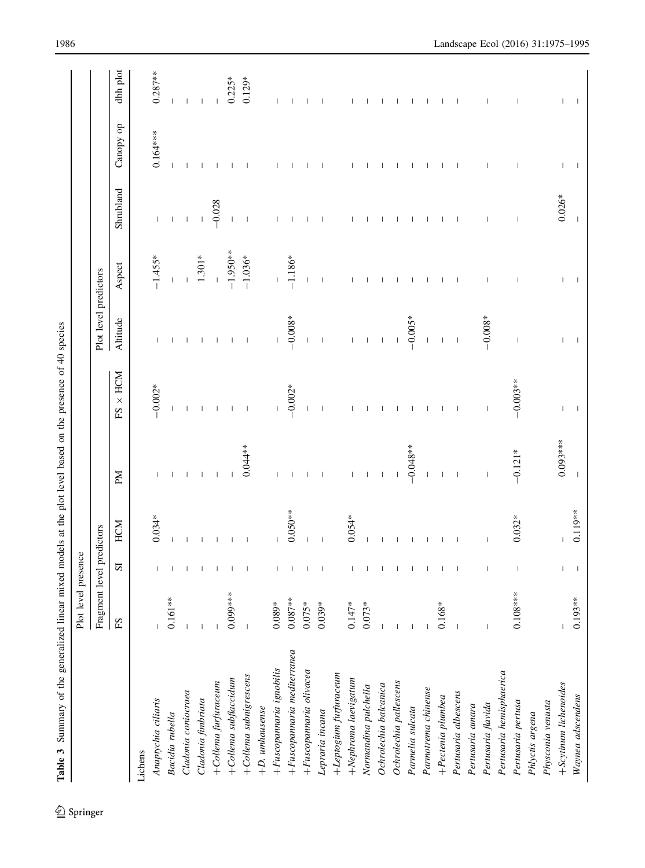| and the Selection of the Selection of the Selection of the Selection of the Selection of the Selection of the Selection of the Selection of the Selection of the Selection of the Selection of the Selection of the Selection |                           |                          |           |   |           |                       |           |          |                                                 |                          |
|-------------------------------------------------------------------------------------------------------------------------------------------------------------------------------------------------------------------------------|---------------------------|--------------------------|-----------|---|-----------|-----------------------|-----------|----------|-------------------------------------------------|--------------------------|
|                                                                                                                                                                                                                               | Plot level presence       |                          |           |   |           |                       |           |          |                                                 |                          |
|                                                                                                                                                                                                                               | Fragment level predictors |                          |           |   |           | Plot level predictors |           |          |                                                 |                          |
|                                                                                                                                                                                                                               | <u>ی</u><br>ا             |                          | Nd HCM PM |   |           |                       |           |          | FS × HCM Altitude Aspect Shrubland Canopy op dt |                          |
| Lichens                                                                                                                                                                                                                       |                           |                          |           |   |           |                       |           |          |                                                 |                          |
| Anaptychia ciliaris                                                                                                                                                                                                           |                           | $\overline{\phantom{a}}$ | $0.034*$  | I | $-0.002*$ | I                     | $-1.455*$ |          | $0.164***$                                      |                          |
| Bacidia rubella                                                                                                                                                                                                               | $0.161**$                 | I                        |           |   |           | I                     |           |          |                                                 | $\overline{\phantom{a}}$ |
| Cladonia coniocraea                                                                                                                                                                                                           |                           | I                        | I         | I | I         | I                     | I         |          | I                                               | $\overline{\phantom{a}}$ |
| Cladonia fimbriata                                                                                                                                                                                                            |                           | I                        | I         | I | I         | I                     | $1.301*$  |          |                                                 | I                        |
| $+$ Collema furfuraceum                                                                                                                                                                                                       |                           | I                        |           |   | I         | I                     | I         | $-0.028$ |                                                 |                          |

Table 3 Summary of the generalized linear mixed models at the plot level based on the presence of 40 species  $\frac{1}{2}$  $\overline{u}$  $\ddot{\mathbf{z}}$  $\overline{a}$ غ<br>ب  $\frac{1}{2}$  $\ddot{ }$ ملمان J,  $\ddot{\phantom{0}}$ تنا استند  $\mathbf{f}$  $T<sub>ab</sub>$   $T<sub>ab</sub>$   $T<sub>ab</sub>$ 

<span id="page-11-0"></span>

|                                | Plot level presence       |                         |           |                   |                 |                                           |                          |                               |                          |                          |
|--------------------------------|---------------------------|-------------------------|-----------|-------------------|-----------------|-------------------------------------------|--------------------------|-------------------------------|--------------------------|--------------------------|
|                                | Fragment level predictors |                         |           |                   |                 | Plot level predictors                     |                          |                               |                          |                          |
|                                | $\mathbb{E}$              | $\overline{\mathbf{s}}$ | HCM       | PМ                | $FS \times HCM$ | Altitude                                  | Aspect                   | Shrubland                     | Canopy op                | dbh plot                 |
| ichens                         |                           |                         |           |                   |                 |                                           |                          |                               |                          |                          |
| Anaptychia ciliaris            |                           |                         | $0.034*$  | $\mathbf{L}$      | $-0.002*$       |                                           | $-1.455*$                |                               | $0.164***$               | $0.287***$               |
| Bacidia rubella                | $0.161**$                 |                         |           |                   |                 |                                           |                          | $1 + 1 + 0.028$               |                          |                          |
| Cladonia coniocraea            |                           |                         |           |                   |                 | $\overline{\phantom{0}}$                  |                          |                               |                          | $\overline{\phantom{a}}$ |
| Cladonia fimbriata             |                           |                         |           | $-1$ $-1$         |                 |                                           | $1.301*$                 |                               |                          |                          |
| $+ Collema\ function$          |                           |                         |           |                   |                 |                                           |                          |                               |                          |                          |
| +Collema subflaccidum          | $0.099***$                |                         |           | $\mathsf{I}$      | $\perp$         |                                           |                          |                               |                          | $0.225*$                 |
| +Collema subnigrescens         |                           |                         |           | $0.044**$         |                 |                                           | $-1.950***$<br>$-1.036*$ |                               |                          | $0.129*$                 |
| $+D$ . umhausense              |                           |                         |           |                   |                 |                                           |                          |                               |                          |                          |
| +Fuscopannaria ignobilis       | $0.089\ast$               |                         |           | $\mathsf{L}$      |                 |                                           |                          |                               |                          |                          |
| $+$ Fuscopannaria mediterranea | $0.087***$                |                         | $0.050**$ | $\sim 1$          | $-0.002*$       | $\begin{array}{r} 1 \ -0.008 \end{array}$ | $-1.186*$                | $\hat{1} = \hat{1} = \hat{1}$ |                          |                          |
| $+Fuscopannaria olivacea$      | $0.075*$                  |                         |           | $\bar{1}$         | $\overline{1}$  |                                           | $\overline{1}$           |                               |                          |                          |
| Lepraria incana                | $0.039*$                  |                         |           | $\frac{1}{2}$     |                 |                                           |                          | $\mathbf{1}$                  |                          |                          |
| $+ Lepo$ gium furfuraceum      |                           |                         |           |                   |                 |                                           |                          |                               |                          |                          |
| +Nephroma laevigatum           | $0.147*$                  |                         | $0.054*$  |                   |                 |                                           |                          | $\mathbf{I}$                  |                          |                          |
| Normandina pulchella           | $0.073*$                  |                         |           | $\bar{1} = 1 - 1$ |                 |                                           |                          | $\blacksquare$                |                          |                          |
| Ochrolechia balcanica          |                           |                         |           |                   | $\mathsf{I}$    |                                           |                          | $\mathbb{L}$                  |                          |                          |
| Ochrolechia pallescens         |                           |                         |           | $\bar{\Gamma}$    |                 |                                           |                          | $\mathbf{I}$                  | $\mathsf I$              |                          |
| Parmelia sulcata               |                           |                         |           | $-0.048**$        |                 |                                           |                          | $\blacksquare$                | $\overline{\phantom{a}}$ |                          |
| Parmotrema chinense            |                           |                         |           | $\overline{1}$    |                 |                                           |                          |                               |                          |                          |
| $+$ Pectenia plumbea           | $0.168*$                  |                         |           |                   |                 |                                           |                          |                               |                          |                          |
| Pertusaria albescens           |                           |                         |           | $\bar{1} = 1$     |                 | $11110000$<br>$-0.005111$                 |                          | $\sim$ 1                      |                          |                          |
| Pertusaria amara               |                           |                         |           |                   |                 |                                           |                          |                               |                          |                          |
| Pertusaria flavida             |                           |                         |           | $\overline{1}$    |                 | $-0.008*$                                 |                          |                               |                          |                          |
| Pertusaria hemisphaerica       |                           |                         |           |                   |                 |                                           |                          |                               |                          |                          |
| Pertusaria pertusa             | $0.108***$                |                         | $0.032*$  | $-0.121*$         | $-0.003**$      | $\overline{1}$                            | $\mathsf I$              | $\mathbf{I}$                  | $\mathsf I$              | $\mathbf{I}$             |
| Phlyctis argena                |                           |                         |           |                   |                 |                                           |                          |                               |                          |                          |
| Physconia venusta              |                           |                         |           |                   |                 |                                           |                          |                               |                          |                          |
| +Scytinum lichenoides          |                           |                         |           | $0.093***$        |                 |                                           |                          |                               |                          |                          |
| Waynea adscendens              | $0.193**$                 |                         | $0.119**$ |                   |                 |                                           |                          | $0.026*$                      |                          |                          |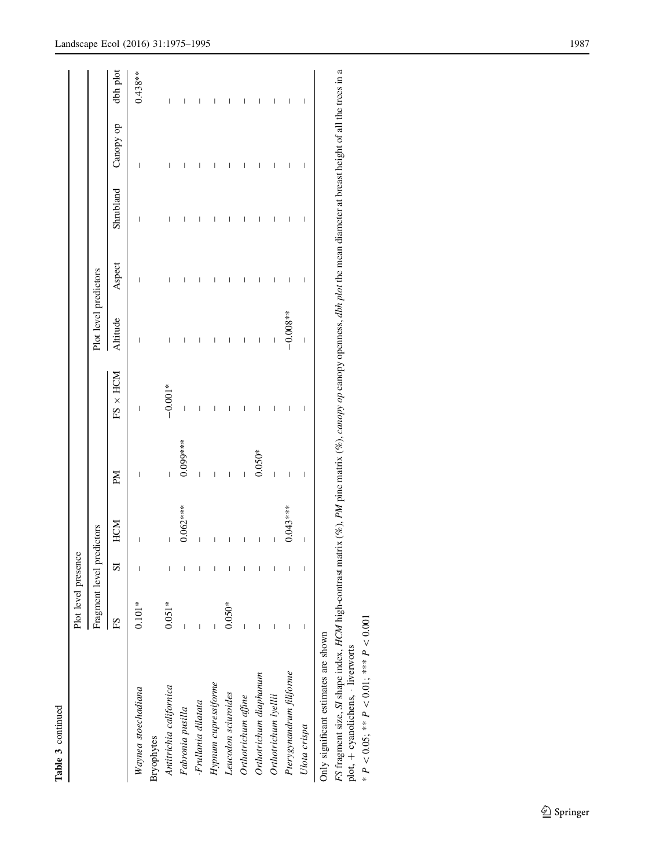|                                      | Plot level presence       |                                                                                                                                                                                                                                                                                                                                                                                  |                |                |                             |                       |        |                                              |   |            |
|--------------------------------------|---------------------------|----------------------------------------------------------------------------------------------------------------------------------------------------------------------------------------------------------------------------------------------------------------------------------------------------------------------------------------------------------------------------------|----------------|----------------|-----------------------------|-----------------------|--------|----------------------------------------------|---|------------|
|                                      | Fragment level predictors |                                                                                                                                                                                                                                                                                                                                                                                  |                |                |                             | Plot level predictors |        |                                              |   |            |
|                                      | ES                        |                                                                                                                                                                                                                                                                                                                                                                                  | SI HCM         | M              | $\text{FS}\times\text{HCM}$ |                       |        | Altitude Aspect Shrubland Canopy op dbh plot |   |            |
| Waynea stoechadiana                  | $0.101*$                  | $\begin{array}{c} \rule{0pt}{2.5ex} \rule{0pt}{2.5ex} \rule{0pt}{2.5ex} \rule{0pt}{2.5ex} \rule{0pt}{2.5ex} \rule{0pt}{2.5ex} \rule{0pt}{2.5ex} \rule{0pt}{2.5ex} \rule{0pt}{2.5ex} \rule{0pt}{2.5ex} \rule{0pt}{2.5ex} \rule{0pt}{2.5ex} \rule{0pt}{2.5ex} \rule{0pt}{2.5ex} \rule{0pt}{2.5ex} \rule{0pt}{2.5ex} \rule{0pt}{2.5ex} \rule{0pt}{2.5ex} \rule{0pt}{2.5ex} \rule{0$ | Ī              | I              | $\overline{1}$              | I                     | $\mid$ | I                                            | I | $0.438***$ |
| Bryophytes                           |                           |                                                                                                                                                                                                                                                                                                                                                                                  |                |                |                             |                       |        |                                              |   |            |
| Antitrichia californica              | $0.051*$                  | I                                                                                                                                                                                                                                                                                                                                                                                | $\overline{1}$ | $\overline{1}$ | $-0.001*$                   | I                     | I      |                                              |   |            |
| ${\small Fabronia~pusha}$            |                           |                                                                                                                                                                                                                                                                                                                                                                                  | $0.062***$     | $0.099***$     |                             |                       |        |                                              |   |            |
| Frullania dilatata                   |                           | I                                                                                                                                                                                                                                                                                                                                                                                |                |                | I                           |                       |        |                                              |   |            |
| Hypnum cupressiforme                 | I                         | I                                                                                                                                                                                                                                                                                                                                                                                |                |                | I                           |                       |        |                                              |   |            |
| Leucodon sciuroides                  | $0.050*$                  | I                                                                                                                                                                                                                                                                                                                                                                                |                |                | I                           | I                     | I      | I                                            |   |            |
| Orthotrichum affine                  |                           |                                                                                                                                                                                                                                                                                                                                                                                  |                |                |                             |                       |        |                                              |   |            |
| Orthotrichum diaphanum               |                           | I                                                                                                                                                                                                                                                                                                                                                                                |                | $0.050*$       |                             |                       | I      |                                              |   |            |
| Orthotrichum lyellii                 | I                         | I                                                                                                                                                                                                                                                                                                                                                                                |                |                | Ī                           |                       | I      |                                              | I |            |
| Pterygynandrum filiforme             | I                         | $\overline{\phantom{a}}$                                                                                                                                                                                                                                                                                                                                                         | $0.043***$     |                |                             | $-0.008**$            | I      | I                                            | Ī |            |
| Ulota crispa                         |                           | I                                                                                                                                                                                                                                                                                                                                                                                | Ï              |                |                             |                       | I      |                                              | I |            |
| Only significant estimates are shown |                           |                                                                                                                                                                                                                                                                                                                                                                                  |                |                |                             |                       |        |                                              |   |            |

Only significant estimates are shown<br>FS fragment size, SI shape index, HCM high-contrast matrix (%), PM pine matrix (%), *canopy op* canopy openness, *dbh plot* the mean diameter at breast height of all the trees in a<br>plot FS fragment size, SI shape index, HCM high-contrast matrix (%), PM pine matrix (%), canopy openness, and plot the mean diameter at breast height of all the trees in a liverworts plot, + cyanolichens, -

\*  $P < 0.05$ ; \*\*  $P < 0.01$ ; \*\*\*  $P < 0.001$  $\gamma \colon P < 0.05;$  \*\*  $P < 0.01;$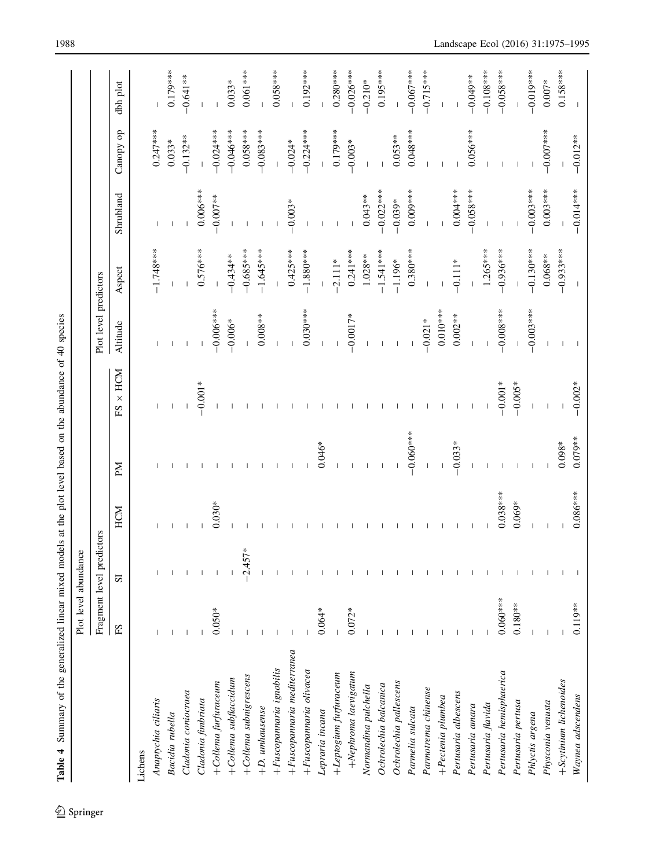| Ï<br>l<br>$\overline{\phantom{a}}$<br>ׅ֘֒<br>I | ĺ |
|------------------------------------------------|---|

<span id="page-13-0"></span>

|                                | Plot level abundance |                           |            |             |                              |                       |             |             |             |             |
|--------------------------------|----------------------|---------------------------|------------|-------------|------------------------------|-----------------------|-------------|-------------|-------------|-------------|
|                                |                      | Fragment level predictors |            |             |                              | Plot level predictors |             |             |             |             |
|                                | $\mathop{\text{E}}$  | $\overline{\mathbf{s}}$   | HCM        | M           | <b>NOH</b><br>$\times$<br>FS | Altitude              | Aspect      | Shrubland   | Canopy op   | dbh plot    |
| Lichens                        |                      |                           |            |             |                              |                       |             |             |             |             |
| Anaptychia ciliaris            |                      |                           |            |             |                              |                       | $-1.748***$ |             | $0.247***$  |             |
| Bacidia rubella                |                      |                           |            |             |                              |                       |             |             | $0.033*$    | $0.179***$  |
| Cladonia coniocraea            |                      |                           |            |             |                              |                       |             |             | $-0.132***$ | $-0.641**$  |
| Cladonia fimbriata             |                      |                           |            |             | $-0.001*$                    |                       | $0.576***$  | $0.006***$  |             |             |
| $+$ Collema furfuraceum        | $0.050*$             |                           | $0.030*$   |             |                              | $-0.006***$           |             | $-0.007**$  | $-0.024***$ |             |
| +Collema subflaccidum          |                      |                           |            |             |                              | $-0.006*$             | $-0.434***$ |             | $-0.046***$ | $0.033*$    |
| +Collema subnigrescens         |                      | $2.457*$                  |            |             |                              |                       | $-0.685***$ |             | $0.058***$  | $0.061***$  |
| $+D.$ umhausense               |                      |                           |            |             |                              | $0.008**$             | $-1.645***$ |             | $-0.083***$ |             |
| +Fuscopamaria ignobilis        |                      |                           |            |             |                              |                       |             |             |             | $0.058***$  |
| $+$ Fuscopannaria mediterranea |                      |                           |            |             |                              |                       | $0.425***$  | $-0.003*$   | $-0.024*$   |             |
| $+Fuscopannaria olivacea$      |                      |                           |            |             |                              | $0.030***$            | $-1.880***$ |             | $-0.224***$ | $0.192***$  |
| Lepraria incana                | $0.064*$             |                           |            | $0.046*$    |                              | $\sf I$               |             |             |             |             |
| $+Leptogium furfuraceum$       |                      |                           |            |             |                              |                       | $-2.111*$   |             | $0.179***$  | $0.280***$  |
| $+Nephroma$ laevigatum         | $0.072*$             |                           |            |             |                              | $-0.0017*$            | $0.241***$  |             | $-0.003*$   | $-0.026***$ |
| Normandina pulchella           |                      |                           |            |             |                              |                       | $1.028**$   | $0.043**$   | $\,$ $\,$   | $-0.210*$   |
| Ochrolechia balcanica          |                      |                           |            |             |                              |                       | $-1.541***$ | $-0.022**$  |             | $0.195***$  |
| Ochrolechia pallescens         |                      |                           |            |             |                              |                       | $-1.196*$   | $-0.039*$   | $0.053**$   |             |
| Parmelia sulcata               |                      |                           |            | $-0.060**$  |                              |                       | $0.380***$  | $0.009***$  | $0.048***$  | $-0.067***$ |
| Parmotrema chinense            |                      |                           |            |             |                              | $-0.021*$             |             |             |             | $-0.715***$ |
| $+$ Pectenia plumbea           |                      |                           |            |             |                              | $0.010***$            |             |             |             |             |
| Pertusaria albescens           |                      |                           |            | $-0.033*$   |                              | $0.002**$             | $-0.111*$   | $0.004***$  |             |             |
| Pertusaria amara               |                      |                           |            |             |                              | $\overline{1}$        |             | $-0.058***$ | $0.056***$  | $-0.049**$  |
| Pertusaria flavida             |                      |                           |            |             |                              |                       | $1.265***$  |             |             | $-0.108***$ |
| Pertusaria hemisphaerica       | $0.060***$           |                           | $0.038***$ |             | $-0.001*$                    | $-0.008***$           | $-0.936***$ |             |             | $-0.058***$ |
| Pertusaria pertusa             | $0.180**$            |                           | $0.069*$   |             | $-0.005*$                    |                       |             |             |             |             |
| Phlyctis argena                |                      |                           |            |             |                              | $-0.003***$           | $-0.130***$ | $-0.003***$ |             | $-0.019***$ |
| Physconia venusta              |                      |                           |            |             |                              |                       | $0.068**$   | $0.003***$  | $-0.007***$ | $0.007*$    |
| $+$ Scytmium lichenoides       |                      |                           |            | $0.098\ast$ |                              |                       | $-0.933***$ |             |             | $0.158***$  |
| Waynea adscendens              | $0.119**$            |                           | $0.086***$ | $0.079**$   | $-0.002*$                    |                       |             | $-0.014***$ | $-0.012**$  |             |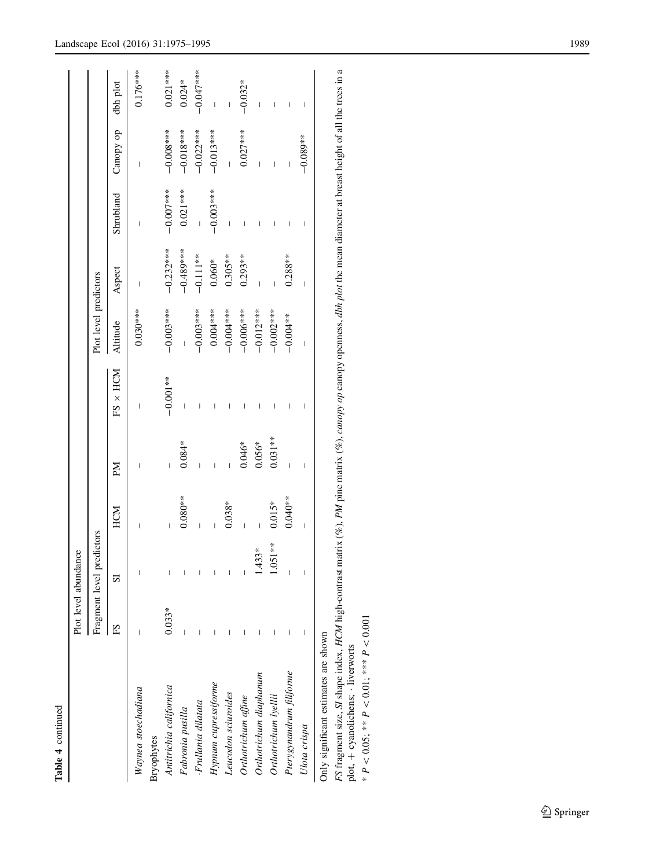|                                      | Plot level | abundance                 |           |            |                                  |                       |                                   |             |                              |             |
|--------------------------------------|------------|---------------------------|-----------|------------|----------------------------------|-----------------------|-----------------------------------|-------------|------------------------------|-------------|
|                                      |            | Fragment level predictors |           |            |                                  | Plot level predictors |                                   |             |                              |             |
|                                      | ES         | 5                         | HCM       | Nd         | $\texttt{FCN}\times\texttt{HCM}$ | Altitude              | Aspect                            |             | Shrubland Canopy op dbh plot |             |
| Waynea stoechadiana                  |            |                           |           |            |                                  | $0.030***$            |                                   |             |                              | $0.176***$  |
| <b>Bryophytes</b>                    |            |                           |           |            |                                  |                       |                                   |             |                              |             |
| Antitrichia californica              | $0.033*$   |                           |           |            | $-0.001**$                       | $-0.003***$           | $-0.232***$                       | $-0.007***$ | $-0.008***$                  | $0.021***$  |
| Fabronia pusilla                     |            |                           | $0.080**$ | $0.084*$   |                                  |                       | $-0.489***$                       | $0.021***$  | $-0.018***$                  | $0.024*$    |
| Frullania dilatata                   |            |                           |           |            |                                  | $-0.003***$           | $-0.111**$                        |             | $-0.022***$                  | $-0.047***$ |
| Hypnum cupressiforme                 |            |                           |           |            |                                  | $0.004***$            | $0.060\ensuremath{^{\mathrm{*}}}$ | $-0.003***$ | $-0.013***$                  |             |
| Leucodon sciuroides                  |            |                           | $0.038*$  |            |                                  | $-0.004***$           | $0.305***$                        |             |                              |             |
| Orthotrichum affine                  |            |                           |           | $0.046*$   |                                  | $-0.006***$           | $0.293**$                         |             | $0.027***$                   | $-0.032*$   |
| Orthotrichum diaphanum               | I          | $1.433*$                  |           | $0.056*$   | I                                | $-0.012***$           |                                   |             |                              |             |
| Orthotrichum lyellii                 | I          | $1.051**$                 | $0.015*$  | $0.031***$ | I                                | $-0.002***$           |                                   | I           |                              |             |
| Pterygynandrum filiforme             |            |                           | $0.040**$ |            |                                  | $-0.004**$            | $0.288***$                        |             |                              |             |
| Ulota crispa                         |            |                           |           |            | I                                |                       |                                   |             | $-0.089**$                   |             |
| Only significant estimates are shown |            |                           |           |            |                                  |                       |                                   |             |                              |             |

Only significant estimates are shown<br>FS fragment size, SI shape index, HCM high-contrast matrix (%), PM pine matrix (%), *canopy op* canopy openness, *dbh plot* the mean diameter at breast height of all the trees in a<br>plot FS fragment size, SI shape index, HCM high-contrast matrix (%), PM pine matrix (%), canopy openness, all plot the mean diameter at breast height of all the trees in a \*  $P < 0.05$ ; \*\*  $P < 0.01$ ; \*\*\*  $P < 0.001$  $\gamma\colon P< 0.05;$  \*\*  $P\leqslant 0.01;$  liverworts plot, + cyanolichens; -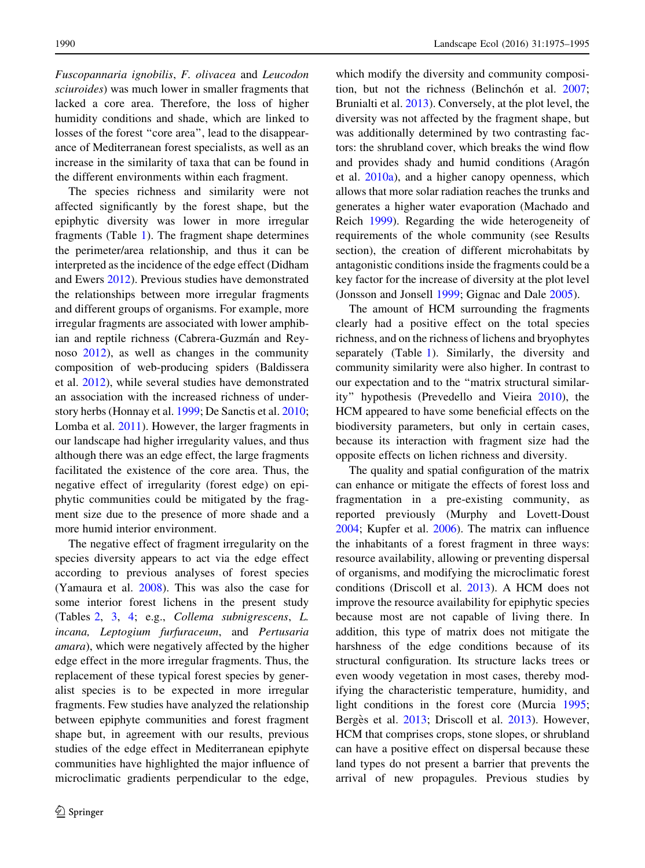Fuscopannaria ignobilis, F. olivacea and Leucodon sciuroides) was much lower in smaller fragments that lacked a core area. Therefore, the loss of higher humidity conditions and shade, which are linked to losses of the forest ''core area'', lead to the disappearance of Mediterranean forest specialists, as well as an increase in the similarity of taxa that can be found in the different environments within each fragment.

The species richness and similarity were not affected significantly by the forest shape, but the epiphytic diversity was lower in more irregular fragments (Table [1\)](#page-6-0). The fragment shape determines the perimeter/area relationship, and thus it can be interpreted as the incidence of the edge effect (Didham and Ewers [2012](#page-18-0)). Previous studies have demonstrated the relationships between more irregular fragments and different groups of organisms. For example, more irregular fragments are associated with lower amphibian and reptile richness (Cabrera-Guzmán and Reynoso [2012](#page-18-0)), as well as changes in the community composition of web-producing spiders (Baldissera et al. [2012\)](#page-17-0), while several studies have demonstrated an association with the increased richness of understory herbs (Honnay et al. [1999;](#page-18-0) De Sanctis et al. [2010](#page-18-0); Lomba et al. [2011](#page-19-0)). However, the larger fragments in our landscape had higher irregularity values, and thus although there was an edge effect, the large fragments facilitated the existence of the core area. Thus, the negative effect of irregularity (forest edge) on epiphytic communities could be mitigated by the fragment size due to the presence of more shade and a more humid interior environment.

The negative effect of fragment irregularity on the species diversity appears to act via the edge effect according to previous analyses of forest species (Yamaura et al. [2008\)](#page-20-0). This was also the case for some interior forest lichens in the present study (Tables [2](#page-9-0), [3](#page-11-0), [4;](#page-13-0) e.g., Collema subnigrescens, L. incana, Leptogium furfuraceum, and Pertusaria amara), which were negatively affected by the higher edge effect in the more irregular fragments. Thus, the replacement of these typical forest species by generalist species is to be expected in more irregular fragments. Few studies have analyzed the relationship between epiphyte communities and forest fragment shape but, in agreement with our results, previous studies of the edge effect in Mediterranean epiphyte communities have highlighted the major influence of microclimatic gradients perpendicular to the edge,

which modify the diversity and community composition, but not the richness (Belinchón et al.  $2007$ ; Brunialti et al. [2013](#page-18-0)). Conversely, at the plot level, the diversity was not affected by the fragment shape, but was additionally determined by two contrasting factors: the shrubland cover, which breaks the wind flow and provides shady and humid conditions (Aragón et al. [2010a](#page-17-0)), and a higher canopy openness, which allows that more solar radiation reaches the trunks and generates a higher water evaporation (Machado and Reich [1999](#page-19-0)). Regarding the wide heterogeneity of requirements of the whole community (see Results section), the creation of different microhabitats by antagonistic conditions inside the fragments could be a key factor for the increase of diversity at the plot level (Jonsson and Jonsell [1999](#page-19-0); Gignac and Dale [2005](#page-18-0)).

The amount of HCM surrounding the fragments clearly had a positive effect on the total species richness, and on the richness of lichens and bryophytes separately (Table [1\)](#page-6-0). Similarly, the diversity and community similarity were also higher. In contrast to our expectation and to the ''matrix structural similarity'' hypothesis (Prevedello and Vieira [2010\)](#page-19-0), the HCM appeared to have some beneficial effects on the biodiversity parameters, but only in certain cases, because its interaction with fragment size had the opposite effects on lichen richness and diversity.

The quality and spatial configuration of the matrix can enhance or mitigate the effects of forest loss and fragmentation in a pre-existing community, as reported previously (Murphy and Lovett-Doust [2004;](#page-19-0) Kupfer et al. [2006](#page-19-0)). The matrix can influence the inhabitants of a forest fragment in three ways: resource availability, allowing or preventing dispersal of organisms, and modifying the microclimatic forest conditions (Driscoll et al. [2013](#page-18-0)). A HCM does not improve the resource availability for epiphytic species because most are not capable of living there. In addition, this type of matrix does not mitigate the harshness of the edge conditions because of its structural configuration. Its structure lacks trees or even woody vegetation in most cases, thereby modifying the characteristic temperature, humidity, and light conditions in the forest core (Murcia [1995](#page-19-0); Bergès et al. [2013](#page-18-0); Driscoll et al. 2013). However, HCM that comprises crops, stone slopes, or shrubland can have a positive effect on dispersal because these land types do not present a barrier that prevents the arrival of new propagules. Previous studies by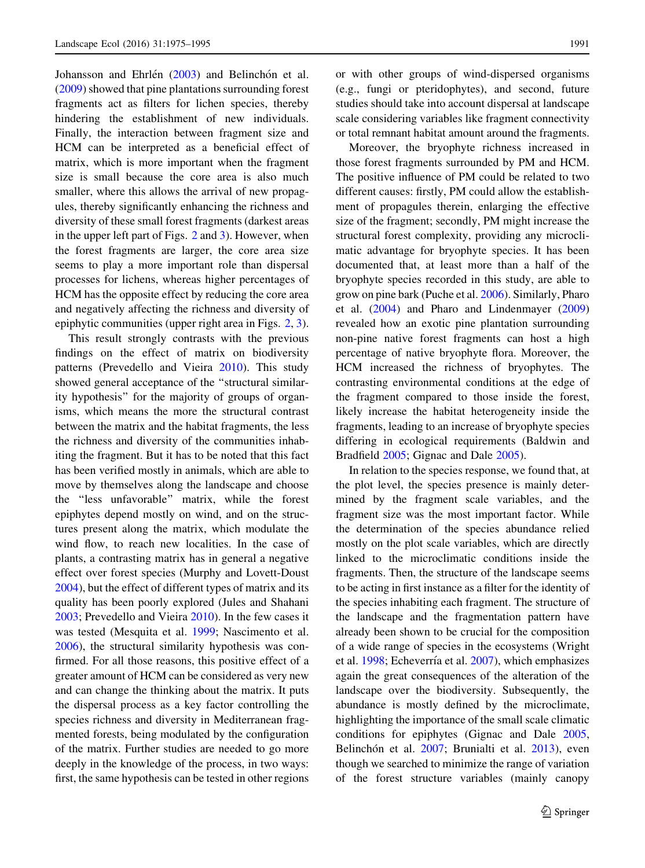Johansson and Ehrlén  $(2003)$  $(2003)$  and Belinchon et al. [\(2009](#page-17-0)) showed that pine plantations surrounding forest fragments act as filters for lichen species, thereby hindering the establishment of new individuals. Finally, the interaction between fragment size and HCM can be interpreted as a beneficial effect of matrix, which is more important when the fragment size is small because the core area is also much smaller, where this allows the arrival of new propagules, thereby significantly enhancing the richness and diversity of these small forest fragments (darkest areas in the upper left part of Figs. [2](#page-7-0) and [3](#page-8-0)). However, when the forest fragments are larger, the core area size seems to play a more important role than dispersal processes for lichens, whereas higher percentages of HCM has the opposite effect by reducing the core area and negatively affecting the richness and diversity of epiphytic communities (upper right area in Figs. [2,](#page-7-0) [3](#page-8-0)).

This result strongly contrasts with the previous findings on the effect of matrix on biodiversity patterns (Prevedello and Vieira [2010](#page-19-0)). This study showed general acceptance of the ''structural similarity hypothesis'' for the majority of groups of organisms, which means the more the structural contrast between the matrix and the habitat fragments, the less the richness and diversity of the communities inhabiting the fragment. But it has to be noted that this fact has been verified mostly in animals, which are able to move by themselves along the landscape and choose the ''less unfavorable'' matrix, while the forest epiphytes depend mostly on wind, and on the structures present along the matrix, which modulate the wind flow, to reach new localities. In the case of plants, a contrasting matrix has in general a negative effect over forest species (Murphy and Lovett-Doust [2004\)](#page-19-0), but the effect of different types of matrix and its quality has been poorly explored (Jules and Shahani [2003;](#page-19-0) Prevedello and Vieira [2010\)](#page-19-0). In the few cases it was tested (Mesquita et al. [1999;](#page-19-0) Nascimento et al. [2006\)](#page-19-0), the structural similarity hypothesis was confirmed. For all those reasons, this positive effect of a greater amount of HCM can be considered as very new and can change the thinking about the matrix. It puts the dispersal process as a key factor controlling the species richness and diversity in Mediterranean fragmented forests, being modulated by the configuration of the matrix. Further studies are needed to go more deeply in the knowledge of the process, in two ways: first, the same hypothesis can be tested in other regions

or with other groups of wind-dispersed organisms (e.g., fungi or pteridophytes), and second, future studies should take into account dispersal at landscape scale considering variables like fragment connectivity or total remnant habitat amount around the fragments.

Moreover, the bryophyte richness increased in those forest fragments surrounded by PM and HCM. The positive influence of PM could be related to two different causes: firstly, PM could allow the establishment of propagules therein, enlarging the effective size of the fragment; secondly, PM might increase the structural forest complexity, providing any microclimatic advantage for bryophyte species. It has been documented that, at least more than a half of the bryophyte species recorded in this study, are able to grow on pine bark (Puche et al. [2006\)](#page-19-0). Similarly, Pharo et al. ([2004\)](#page-19-0) and Pharo and Lindenmayer ([2009\)](#page-19-0) revealed how an exotic pine plantation surrounding non-pine native forest fragments can host a high percentage of native bryophyte flora. Moreover, the HCM increased the richness of bryophytes. The contrasting environmental conditions at the edge of the fragment compared to those inside the forest, likely increase the habitat heterogeneity inside the fragments, leading to an increase of bryophyte species differing in ecological requirements (Baldwin and Bradfield [2005;](#page-17-0) Gignac and Dale [2005](#page-18-0)).

In relation to the species response, we found that, at the plot level, the species presence is mainly determined by the fragment scale variables, and the fragment size was the most important factor. While the determination of the species abundance relied mostly on the plot scale variables, which are directly linked to the microclimatic conditions inside the fragments. Then, the structure of the landscape seems to be acting in first instance as a filter for the identity of the species inhabiting each fragment. The structure of the landscape and the fragmentation pattern have already been shown to be crucial for the composition of a wide range of species in the ecosystems (Wright et al. [1998;](#page-20-0) Echeverría et al. [2007](#page-18-0)), which emphasizes again the great consequences of the alteration of the landscape over the biodiversity. Subsequently, the abundance is mostly defined by the microclimate, highlighting the importance of the small scale climatic conditions for epiphytes (Gignac and Dale [2005,](#page-18-0) Belinchón et al. [2007;](#page-17-0) Brunialti et al. [2013\)](#page-18-0), even though we searched to minimize the range of variation of the forest structure variables (mainly canopy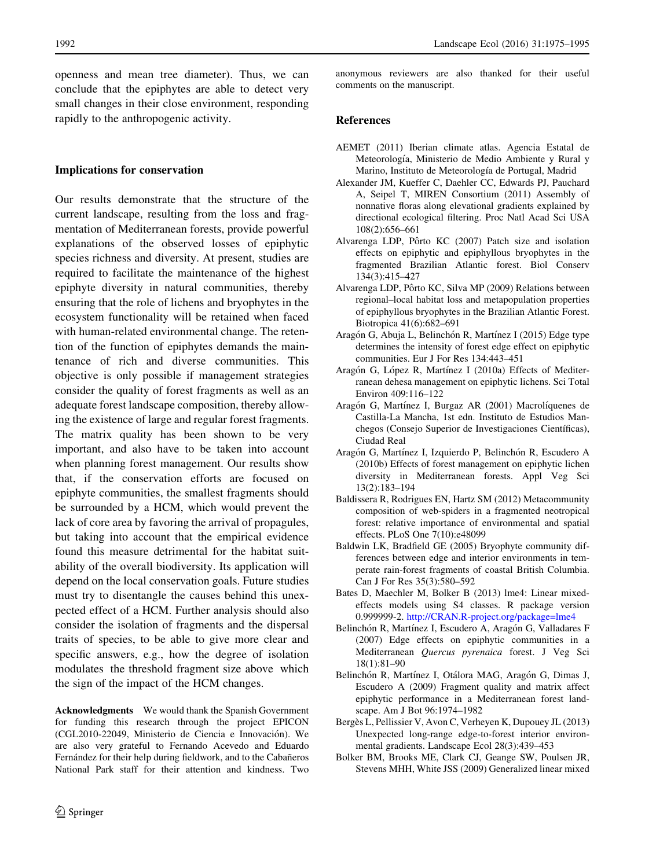<span id="page-17-0"></span>openness and mean tree diameter). Thus, we can conclude that the epiphytes are able to detect very small changes in their close environment, responding rapidly to the anthropogenic activity.

#### Implications for conservation

Our results demonstrate that the structure of the current landscape, resulting from the loss and fragmentation of Mediterranean forests, provide powerful explanations of the observed losses of epiphytic species richness and diversity. At present, studies are required to facilitate the maintenance of the highest epiphyte diversity in natural communities, thereby ensuring that the role of lichens and bryophytes in the ecosystem functionality will be retained when faced with human-related environmental change. The retention of the function of epiphytes demands the maintenance of rich and diverse communities. This objective is only possible if management strategies consider the quality of forest fragments as well as an adequate forest landscape composition, thereby allowing the existence of large and regular forest fragments. The matrix quality has been shown to be very important, and also have to be taken into account when planning forest management. Our results show that, if the conservation efforts are focused on epiphyte communities, the smallest fragments should be surrounded by a HCM, which would prevent the lack of core area by favoring the arrival of propagules, but taking into account that the empirical evidence found this measure detrimental for the habitat suitability of the overall biodiversity. Its application will depend on the local conservation goals. Future studies must try to disentangle the causes behind this unexpected effect of a HCM. Further analysis should also consider the isolation of fragments and the dispersal traits of species, to be able to give more clear and specific answers, e.g., how the degree of isolation modulates the threshold fragment size above which the sign of the impact of the HCM changes.

Acknowledgments We would thank the Spanish Government for funding this research through the project EPICON (CGL2010-22049, Ministerio de Ciencia e Innovación). We are also very grateful to Fernando Acevedo and Eduardo Fernández for their help during fieldwork, and to the Cabañeros National Park staff for their attention and kindness. Two

anonymous reviewers are also thanked for their useful comments on the manuscript.

#### References

- AEMET (2011) Iberian climate atlas. Agencia Estatal de Meteorología, Ministerio de Medio Ambiente y Rural y Marino, Instituto de Meteorología de Portugal, Madrid
- Alexander JM, Kueffer C, Daehler CC, Edwards PJ, Pauchard A, Seipel T, MIREN Consortium (2011) Assembly of nonnative floras along elevational gradients explained by directional ecological filtering. Proc Natl Acad Sci USA 108(2):656–661
- Alvarenga LDP, Pôrto KC (2007) Patch size and isolation effects on epiphytic and epiphyllous bryophytes in the fragmented Brazilian Atlantic forest. Biol Conserv 134(3):415–427
- Alvarenga LDP, Pôrto KC, Silva MP (2009) Relations between regional–local habitat loss and metapopulation properties of epiphyllous bryophytes in the Brazilian Atlantic Forest. Biotropica 41(6):682–691
- Aragón G, Abuja L, Belinchón R, Martínez I (2015) Edge type determines the intensity of forest edge effect on epiphytic communities. Eur J For Res 134:443–451
- Aragón G, López R, Martínez I (2010a) Effects of Mediterranean dehesa management on epiphytic lichens. Sci Total Environ 409:116–122
- Aragón G, Martínez I, Burgaz AR (2001) Macrolíquenes de Castilla-La Mancha, 1st edn. Instituto de Estudios Manchegos (Consejo Superior de Investigaciones Científicas), Ciudad Real
- Aragón G, Martínez I, Izquierdo P, Belinchón R, Escudero A (2010b) Effects of forest management on epiphytic lichen diversity in Mediterranean forests. Appl Veg Sci 13(2):183–194
- Baldissera R, Rodrigues EN, Hartz SM (2012) Metacommunity composition of web-spiders in a fragmented neotropical forest: relative importance of environmental and spatial effects. PLoS One 7(10):e48099
- Baldwin LK, Bradfield GE (2005) Bryophyte community differences between edge and interior environments in temperate rain-forest fragments of coastal British Columbia. Can J For Res 35(3):580–592
- Bates D, Maechler M, Bolker B (2013) lme4: Linear mixedeffects models using S4 classes. R package version 0.999999-2. [http://CRAN.R-project.org/package=lme4](http://CRAN.R-project.org/package%3dlme4)
- Belinchón R, Martínez I, Escudero A, Aragón G, Valladares F (2007) Edge effects on epiphytic communities in a Mediterranean Quercus pyrenaica forest. J Veg Sci 18(1):81–90
- Belinchón R, Martínez I, Otálora MAG, Aragón G, Dimas J, Escudero A (2009) Fragment quality and matrix affect epiphytic performance in a Mediterranean forest landscape. Am J Bot 96:1974–1982
- Bergès L, Pellissier V, Avon C, Verheyen K, Dupouey JL (2013) Unexpected long-range edge-to-forest interior environmental gradients. Landscape Ecol 28(3):439–453
- Bolker BM, Brooks ME, Clark CJ, Geange SW, Poulsen JR, Stevens MHH, White JSS (2009) Generalized linear mixed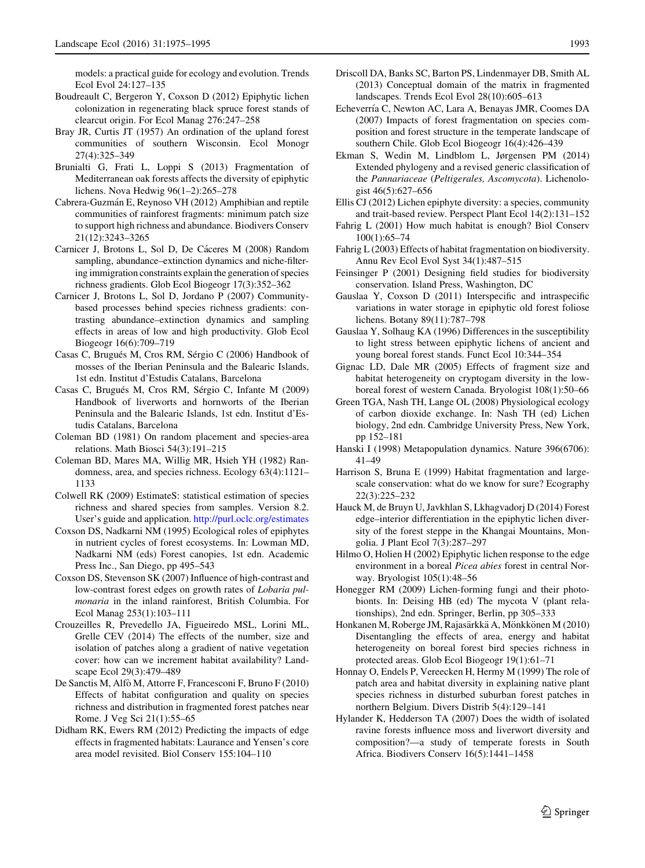<span id="page-18-0"></span>models: a practical guide for ecology and evolution. Trends Ecol Evol 24:127–135

- Boudreault C, Bergeron Y, Coxson D (2012) Epiphytic lichen colonization in regenerating black spruce forest stands of clearcut origin. For Ecol Manag 276:247–258
- Bray JR, Curtis JT (1957) An ordination of the upland forest communities of southern Wisconsin. Ecol Monogr 27(4):325–349
- Brunialti G, Frati L, Loppi S (2013) Fragmentation of Mediterranean oak forests affects the diversity of epiphytic lichens. Nova Hedwig 96(1–2):265–278
- Cabrera-Guzma´n E, Reynoso VH (2012) Amphibian and reptile communities of rainforest fragments: minimum patch size to support high richness and abundance. Biodivers Conserv 21(12):3243–3265
- Carnicer J, Brotons L, Sol D, De Cáceres M (2008) Random sampling, abundance–extinction dynamics and niche-filtering immigration constraints explain the generation of species richness gradients. Glob Ecol Biogeogr 17(3):352–362
- Carnicer J, Brotons L, Sol D, Jordano P (2007) Communitybased processes behind species richness gradients: contrasting abundance–extinction dynamics and sampling effects in areas of low and high productivity. Glob Ecol Biogeogr 16(6):709–719
- Casas C, Brugués M, Cros RM, Sérgio C (2006) Handbook of mosses of the Iberian Peninsula and the Balearic Islands, 1st edn. Institut d'Estudis Catalans, Barcelona
- Casas C, Brugués M, Cros RM, Sérgio C, Infante M (2009) Handbook of liverworts and hornworts of the Iberian Peninsula and the Balearic Islands, 1st edn. Institut d'Estudis Catalans, Barcelona
- Coleman BD (1981) On random placement and species-area relations. Math Biosci 54(3):191–215
- Coleman BD, Mares MA, Willig MR, Hsieh YH (1982) Randomness, area, and species richness. Ecology 63(4):1121– 1133
- Colwell RK (2009) EstimateS: statistical estimation of species richness and shared species from samples. Version 8.2. User's guide and application. <http://purl.oclc.org/estimates>
- Coxson DS, Nadkarni NM (1995) Ecological roles of epiphytes in nutrient cycles of forest ecosystems. In: Lowman MD, Nadkarni NM (eds) Forest canopies, 1st edn. Academic Press Inc., San Diego, pp 495–543
- Coxson DS, Stevenson SK (2007) Influence of high-contrast and low-contrast forest edges on growth rates of Lobaria pulmonaria in the inland rainforest, British Columbia. For Ecol Manag 253(1):103–111
- Crouzeilles R, Prevedello JA, Figueiredo MSL, Lorini ML, Grelle CEV (2014) The effects of the number, size and isolation of patches along a gradient of native vegetation cover: how can we increment habitat availability? Landscape Ecol 29(3):479–489
- De Sanctis M, Alfò M, Attorre F, Francesconi F, Bruno F (2010) Effects of habitat configuration and quality on species richness and distribution in fragmented forest patches near Rome. J Veg Sci 21(1):55–65
- Didham RK, Ewers RM (2012) Predicting the impacts of edge effects in fragmented habitats: Laurance and Yensen's core area model revisited. Biol Conserv 155:104–110
- Driscoll DA, Banks SC, Barton PS, Lindenmayer DB, Smith AL (2013) Conceptual domain of the matrix in fragmented landscapes. Trends Ecol Evol 28(10):605–613
- Echeverría C, Newton AC, Lara A, Benayas JMR, Coomes DA (2007) Impacts of forest fragmentation on species composition and forest structure in the temperate landscape of southern Chile. Glob Ecol Biogeogr 16(4):426–439
- Ekman S, Wedin M, Lindblom L, Jørgensen PM (2014) Extended phylogeny and a revised generic classification of the Pannariaceae (Peltigerales, Ascomycota). Lichenologist 46(5):627–656
- Ellis CJ (2012) Lichen epiphyte diversity: a species, community and trait-based review. Perspect Plant Ecol 14(2):131–152
- Fahrig L (2001) How much habitat is enough? Biol Conserv 100(1):65–74
- Fahrig L (2003) Effects of habitat fragmentation on biodiversity. Annu Rev Ecol Evol Syst 34(1):487–515
- Feinsinger P (2001) Designing field studies for biodiversity conservation. Island Press, Washington, DC
- Gauslaa Y, Coxson D (2011) Interspecific and intraspecific variations in water storage in epiphytic old forest foliose lichens. Botany 89(11):787–798
- Gauslaa Y, Solhaug KA (1996) Differences in the susceptibility to light stress between epiphytic lichens of ancient and young boreal forest stands. Funct Ecol 10:344–354
- Gignac LD, Dale MR (2005) Effects of fragment size and habitat heterogeneity on cryptogam diversity in the lowboreal forest of western Canada. Bryologist 108(1):50–66
- Green TGA, Nash TH, Lange OL (2008) Physiological ecology of carbon dioxide exchange. In: Nash TH (ed) Lichen biology, 2nd edn. Cambridge University Press, New York, pp 152–181
- Hanski I (1998) Metapopulation dynamics. Nature 396(6706): 41–49
- Harrison S, Bruna E (1999) Habitat fragmentation and largescale conservation: what do we know for sure? Ecography 22(3):225–232
- Hauck M, de Bruyn U, Javkhlan S, Lkhagvadorj D (2014) Forest edge–interior differentiation in the epiphytic lichen diversity of the forest steppe in the Khangai Mountains, Mongolia. J Plant Ecol 7(3):287–297
- Hilmo O, Holien H (2002) Epiphytic lichen response to the edge environment in a boreal Picea abies forest in central Norway. Bryologist 105(1):48–56
- Honegger RM (2009) Lichen-forming fungi and their photobionts. In: Deising HB (ed) The mycota V (plant relationships), 2nd edn. Springer, Berlin, pp 305–333
- Honkanen M, Roberge JM, Rajasärkkä A, Mönkkönen M (2010) Disentangling the effects of area, energy and habitat heterogeneity on boreal forest bird species richness in protected areas. Glob Ecol Biogeogr 19(1):61–71
- Honnay O, Endels P, Vereecken H, Hermy M (1999) The role of patch area and habitat diversity in explaining native plant species richness in disturbed suburban forest patches in northern Belgium. Divers Distrib 5(4):129–141
- Hylander K, Hedderson TA (2007) Does the width of isolated ravine forests influence moss and liverwort diversity and composition?—a study of temperate forests in South Africa. Biodivers Conserv 16(5):1441–1458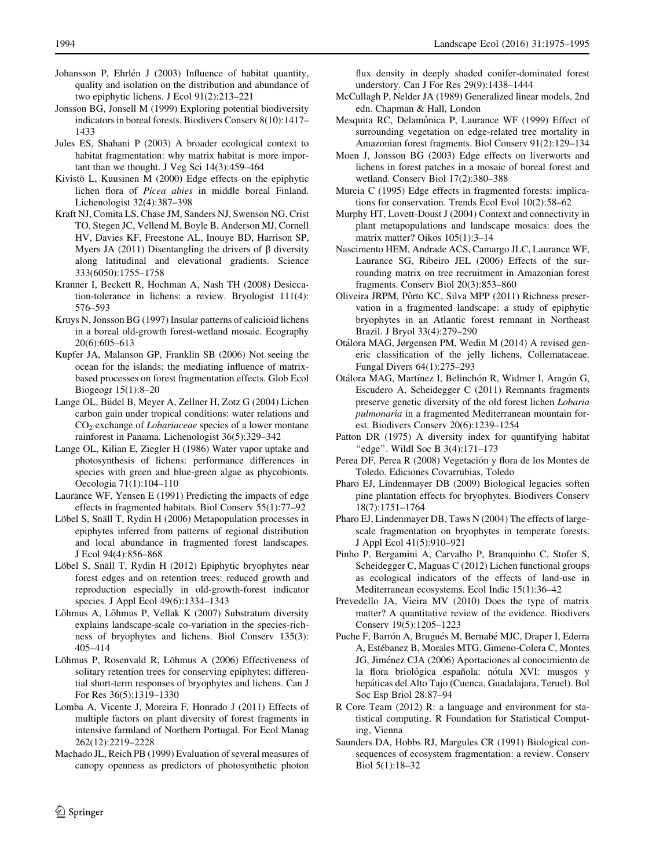- <span id="page-19-0"></span>Johansson P, Ehrlén J (2003) Influence of habitat quantity, quality and isolation on the distribution and abundance of two epiphytic lichens. J Ecol 91(2):213–221
- Jonsson BG, Jonsell M (1999) Exploring potential biodiversity indicators in boreal forests. Biodivers Conserv 8(10):1417– 1433
- Jules ES, Shahani P (2003) A broader ecological context to habitat fragmentation: why matrix habitat is more important than we thought. J Veg Sci 14(3):459–464
- Kivistö L, Kuusinen M (2000) Edge effects on the epiphytic lichen flora of Picea abies in middle boreal Finland. Lichenologist 32(4):387–398
- Kraft NJ, Comita LS, Chase JM, Sanders NJ, Swenson NG, Crist TO, Stegen JC, Vellend M, Boyle B, Anderson MJ, Cornell HV, Davies KF, Freestone AL, Inouye BD, Harrison SP, Myers JA (2011) Disentangling the drivers of  $\beta$  diversity along latitudinal and elevational gradients. Science 333(6050):1755–1758
- Kranner I, Beckett R, Hochman A, Nash TH (2008) Desiccation-tolerance in lichens: a review. Bryologist 111(4): 576–593
- Kruys N, Jonsson BG (1997) Insular patterns of calicioid lichens in a boreal old-growth forest-wetland mosaic. Ecography 20(6):605–613
- Kupfer JA, Malanson GP, Franklin SB (2006) Not seeing the ocean for the islands: the mediating influence of matrixbased processes on forest fragmentation effects. Glob Ecol Biogeogr 15(1):8–20
- Lange OL, Büdel B, Meyer A, Zellner H, Zotz G (2004) Lichen carbon gain under tropical conditions: water relations and  $CO<sub>2</sub>$  exchange of *Lobariaceae* species of a lower montane rainforest in Panama. Lichenologist 36(5):329–342
- Lange OL, Kilian E, Ziegler H (1986) Water vapor uptake and photosynthesis of lichens: performance differences in species with green and blue-green algae as phycobionts. Oecologia 71(1):104–110
- Laurance WF, Yensen E (1991) Predicting the impacts of edge effects in fragmented habitats. Biol Conserv 55(1):77–92
- Löbel S, Snäll T, Rydin H (2006) Metapopulation processes in epiphytes inferred from patterns of regional distribution and local abundance in fragmented forest landscapes. J Ecol 94(4):856–868
- Löbel S, Snäll T, Rydin H (2012) Epiphytic bryophytes near forest edges and on retention trees: reduced growth and reproduction especially in old-growth-forest indicator species. J Appl Ecol 49(6):1334–1343
- Lõhmus A, Lõhmus P, Vellak K (2007) Substratum diversity explains landscape-scale co-variation in the species-richness of bryophytes and lichens. Biol Conserv 135(3): 405–414
- Lõhmus P, Rosenvald R, Lõhmus A (2006) Effectiveness of solitary retention trees for conserving epiphytes: differential short-term responses of bryophytes and lichens. Can J For Res 36(5):1319–1330
- Lomba A, Vicente J, Moreira F, Honrado J (2011) Effects of multiple factors on plant diversity of forest fragments in intensive farmland of Northern Portugal. For Ecol Manag 262(12):2219–2228
- Machado JL, Reich PB (1999) Evaluation of several measures of canopy openness as predictors of photosynthetic photon

flux density in deeply shaded conifer-dominated forest understory. Can J For Res 29(9):1438–1444

- McCullagh P, Nelder JA (1989) Generalized linear models, 2nd edn. Chapman & Hall, London
- Mesquita RC, Delamônica P, Laurance WF (1999) Effect of surrounding vegetation on edge-related tree mortality in Amazonian forest fragments. Biol Conserv 91(2):129–134
- Moen J, Jonsson BG (2003) Edge effects on liverworts and lichens in forest patches in a mosaic of boreal forest and wetland. Conserv Biol 17(2):380–388
- Murcia C (1995) Edge effects in fragmented forests: implications for conservation. Trends Ecol Evol 10(2):58–62
- Murphy HT, Lovett-Doust J (2004) Context and connectivity in plant metapopulations and landscape mosaics: does the matrix matter? Oikos 105(1):3–14
- Nascimento HEM, Andrade ACS, Camargo JLC, Laurance WF, Laurance SG, Ribeiro JEL (2006) Effects of the surrounding matrix on tree recruitment in Amazonian forest fragments. Conserv Biol 20(3):853–860
- Oliveira JRPM, Pôrto KC, Silva MPP (2011) Richness preservation in a fragmented landscape: a study of epiphytic bryophytes in an Atlantic forest remnant in Northeast Brazil. J Bryol 33(4):279–290
- Otálora MAG, Jørgensen PM, Wedin M (2014) A revised generic classification of the jelly lichens, Collemataceae. Fungal Divers 64(1):275–293
- Otálora MAG, Martínez I, Belinchón R, Widmer I, Aragón G, Escudero A, Scheidegger C (2011) Remnants fragments preserve genetic diversity of the old forest lichen Lobaria pulmonaria in a fragmented Mediterranean mountain forest. Biodivers Conserv 20(6):1239–1254
- Patton DR (1975) A diversity index for quantifying habitat "edge". Wildl Soc B 3(4):171-173
- Perea DF, Perea R (2008) Vegetación y flora de los Montes de Toledo. Ediciones Covarrubias, Toledo
- Pharo EJ, Lindenmayer DB (2009) Biological legacies soften pine plantation effects for bryophytes. Biodivers Conserv 18(7):1751–1764
- Pharo EJ, Lindenmayer DB, Taws N (2004) The effects of largescale fragmentation on bryophytes in temperate forests. J Appl Ecol 41(5):910–921
- Pinho P, Bergamini A, Carvalho P, Branquinho C, Stofer S, Scheidegger C, Maguas C (2012) Lichen functional groups as ecological indicators of the effects of land-use in Mediterranean ecosystems. Ecol Indic 15(1):36–42
- Prevedello JA, Vieira MV (2010) Does the type of matrix matter? A quantitative review of the evidence. Biodivers Conserv 19(5):1205–1223
- Puche F, Barrón A, Brugués M, Bernabé MJC, Draper I, Ederra A, Estébanez B, Morales MTG, Gimeno-Colera C, Montes JG, Jiménez CJA (2006) Aportaciones al conocimiento de la flora briológica española: nótula XVI: musgos y hepáticas del Alto Tajo (Cuenca, Guadalajara, Teruel). Bol Soc Esp Briol 28:87–94
- R Core Team (2012) R: a language and environment for statistical computing. R Foundation for Statistical Computing, Vienna
- Saunders DA, Hobbs RJ, Margules CR (1991) Biological consequences of ecosystem fragmentation: a review. Conserv Biol 5(1):18–32